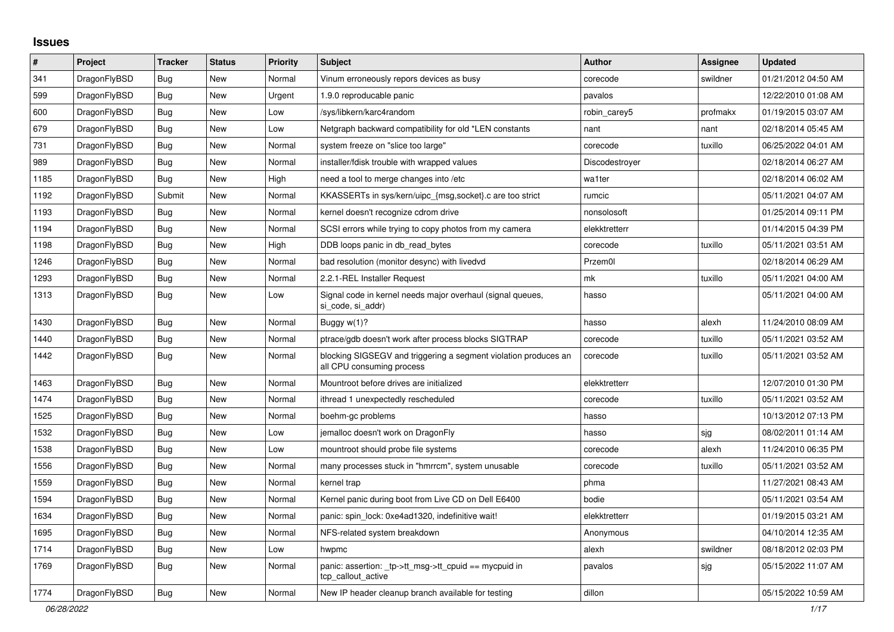## **Issues**

| #    | Project      | <b>Tracker</b> | <b>Status</b> | <b>Priority</b> | <b>Subject</b>                                                                               | <b>Author</b>  | Assignee | <b>Updated</b>      |
|------|--------------|----------------|---------------|-----------------|----------------------------------------------------------------------------------------------|----------------|----------|---------------------|
| 341  | DragonFlyBSD | <b>Bug</b>     | <b>New</b>    | Normal          | Vinum erroneously repors devices as busy                                                     | corecode       | swildner | 01/21/2012 04:50 AM |
| 599  | DragonFlyBSD | Bug            | <b>New</b>    | Urgent          | 1.9.0 reproducable panic                                                                     | pavalos        |          | 12/22/2010 01:08 AM |
| 600  | DragonFlyBSD | Bug            | <b>New</b>    | Low             | /sys/libkern/karc4random                                                                     | robin_carey5   | profmakx | 01/19/2015 03:07 AM |
| 679  | DragonFlyBSD | <b>Bug</b>     | <b>New</b>    | Low             | Netgraph backward compatibility for old *LEN constants                                       | nant           | nant     | 02/18/2014 05:45 AM |
| 731  | DragonFlyBSD | Bug            | <b>New</b>    | Normal          | system freeze on "slice too large"                                                           | corecode       | tuxillo  | 06/25/2022 04:01 AM |
| 989  | DragonFlyBSD | Bug            | <b>New</b>    | Normal          | installer/fdisk trouble with wrapped values                                                  | Discodestroyer |          | 02/18/2014 06:27 AM |
| 1185 | DragonFlyBSD | Bug            | <b>New</b>    | High            | need a tool to merge changes into /etc                                                       | wa1ter         |          | 02/18/2014 06:02 AM |
| 1192 | DragonFlyBSD | Submit         | <b>New</b>    | Normal          | KKASSERTs in sys/kern/uipc_{msg,socket}.c are too strict                                     | rumcic         |          | 05/11/2021 04:07 AM |
| 1193 | DragonFlyBSD | <b>Bug</b>     | <b>New</b>    | Normal          | kernel doesn't recognize cdrom drive                                                         | nonsolosoft    |          | 01/25/2014 09:11 PM |
| 1194 | DragonFlyBSD | <b>Bug</b>     | <b>New</b>    | Normal          | SCSI errors while trying to copy photos from my camera                                       | elekktretterr  |          | 01/14/2015 04:39 PM |
| 1198 | DragonFlyBSD | Bug            | <b>New</b>    | High            | DDB loops panic in db_read_bytes                                                             | corecode       | tuxillo  | 05/11/2021 03:51 AM |
| 1246 | DragonFlyBSD | Bug            | New           | Normal          | bad resolution (monitor desync) with livedvd                                                 | Przem0l        |          | 02/18/2014 06:29 AM |
| 1293 | DragonFlyBSD | Bug            | <b>New</b>    | Normal          | 2.2.1-REL Installer Request                                                                  | mk             | tuxillo  | 05/11/2021 04:00 AM |
| 1313 | DragonFlyBSD | <b>Bug</b>     | <b>New</b>    | Low             | Signal code in kernel needs major overhaul (signal queues,<br>si code, si addr)              | hasso          |          | 05/11/2021 04:00 AM |
| 1430 | DragonFlyBSD | Bug            | <b>New</b>    | Normal          | Buggy $w(1)$ ?                                                                               | hasso          | alexh    | 11/24/2010 08:09 AM |
| 1440 | DragonFlyBSD | Bug            | <b>New</b>    | Normal          | ptrace/gdb doesn't work after process blocks SIGTRAP                                         | corecode       | tuxillo  | 05/11/2021 03:52 AM |
| 1442 | DragonFlyBSD | Bug            | New           | Normal          | blocking SIGSEGV and triggering a segment violation produces an<br>all CPU consuming process | corecode       | tuxillo  | 05/11/2021 03:52 AM |
| 1463 | DragonFlyBSD | <b>Bug</b>     | <b>New</b>    | Normal          | Mountroot before drives are initialized                                                      | elekktretterr  |          | 12/07/2010 01:30 PM |
| 1474 | DragonFlyBSD | Bug            | <b>New</b>    | Normal          | ithread 1 unexpectedly rescheduled                                                           | corecode       | tuxillo  | 05/11/2021 03:52 AM |
| 1525 | DragonFlyBSD | <b>Bug</b>     | <b>New</b>    | Normal          | boehm-gc problems                                                                            | hasso          |          | 10/13/2012 07:13 PM |
| 1532 | DragonFlyBSD | <b>Bug</b>     | <b>New</b>    | Low             | jemalloc doesn't work on DragonFly                                                           | hasso          | sjg      | 08/02/2011 01:14 AM |
| 1538 | DragonFlyBSD | <b>Bug</b>     | <b>New</b>    | Low             | mountroot should probe file systems                                                          | corecode       | alexh    | 11/24/2010 06:35 PM |
| 1556 | DragonFlyBSD | Bug            | New           | Normal          | many processes stuck in "hmrrcm", system unusable                                            | corecode       | tuxillo  | 05/11/2021 03:52 AM |
| 1559 | DragonFlyBSD | Bug            | <b>New</b>    | Normal          | kernel trap                                                                                  | phma           |          | 11/27/2021 08:43 AM |
| 1594 | DragonFlyBSD | <b>Bug</b>     | <b>New</b>    | Normal          | Kernel panic during boot from Live CD on Dell E6400                                          | bodie          |          | 05/11/2021 03:54 AM |
| 1634 | DragonFlyBSD | Bug            | New           | Normal          | panic: spin lock: 0xe4ad1320, indefinitive wait!                                             | elekktretterr  |          | 01/19/2015 03:21 AM |
| 1695 | DragonFlyBSD | <b>Bug</b>     | <b>New</b>    | Normal          | NFS-related system breakdown                                                                 | Anonymous      |          | 04/10/2014 12:35 AM |
| 1714 | DragonFlyBSD | <b>Bug</b>     | <b>New</b>    | Low             | hwpmc                                                                                        | alexh          | swildner | 08/18/2012 02:03 PM |
| 1769 | DragonFlyBSD | <b>Bug</b>     | <b>New</b>    | Normal          | panic: assertion: _tp->tt_msg->tt_cpuid == mycpuid in<br>tcp callout active                  | pavalos        | sjg      | 05/15/2022 11:07 AM |
| 1774 | DragonFlyBSD | <b>Bug</b>     | New           | Normal          | New IP header cleanup branch available for testing                                           | dillon         |          | 05/15/2022 10:59 AM |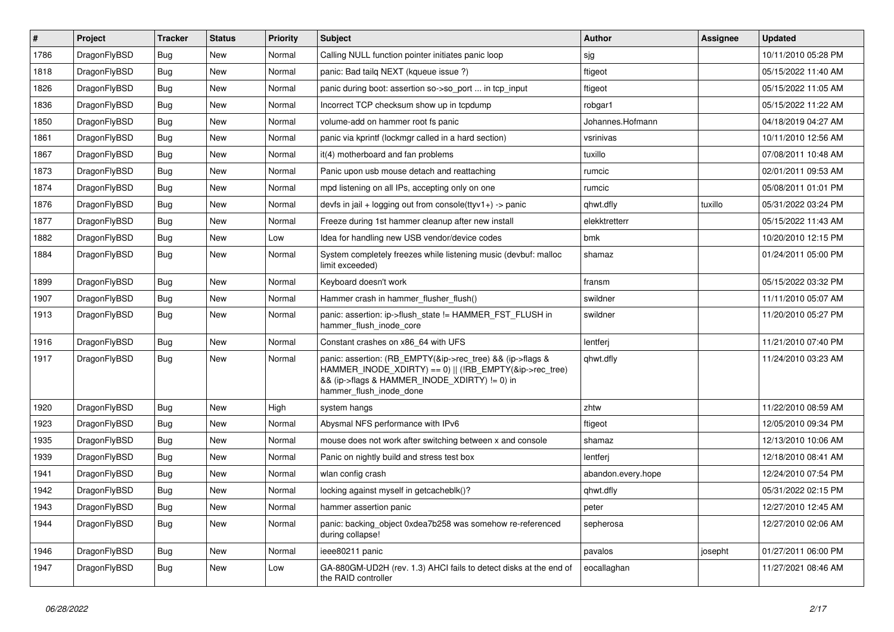| $\vert$ # | Project      | <b>Tracker</b> | <b>Status</b> | <b>Priority</b> | <b>Subject</b>                                                                                                                                                                                    | Author             | Assignee | <b>Updated</b>      |
|-----------|--------------|----------------|---------------|-----------------|---------------------------------------------------------------------------------------------------------------------------------------------------------------------------------------------------|--------------------|----------|---------------------|
| 1786      | DragonFlyBSD | Bug            | <b>New</b>    | Normal          | Calling NULL function pointer initiates panic loop                                                                                                                                                | sjg                |          | 10/11/2010 05:28 PM |
| 1818      | DragonFlyBSD | Bug            | <b>New</b>    | Normal          | panic: Bad tailg NEXT (kqueue issue ?)                                                                                                                                                            | ftigeot            |          | 05/15/2022 11:40 AM |
| 1826      | DragonFlyBSD | Bug            | <b>New</b>    | Normal          | panic during boot: assertion so->so_port  in tcp_input                                                                                                                                            | ftigeot            |          | 05/15/2022 11:05 AM |
| 1836      | DragonFlyBSD | Bug            | <b>New</b>    | Normal          | Incorrect TCP checksum show up in tcpdump                                                                                                                                                         | robgar1            |          | 05/15/2022 11:22 AM |
| 1850      | DragonFlyBSD | Bug            | <b>New</b>    | Normal          | volume-add on hammer root fs panic                                                                                                                                                                | Johannes.Hofmann   |          | 04/18/2019 04:27 AM |
| 1861      | DragonFlyBSD | <b>Bug</b>     | New           | Normal          | panic via kprintf (lockmgr called in a hard section)                                                                                                                                              | vsrinivas          |          | 10/11/2010 12:56 AM |
| 1867      | DragonFlyBSD | Bug            | <b>New</b>    | Normal          | it(4) motherboard and fan problems                                                                                                                                                                | tuxillo            |          | 07/08/2011 10:48 AM |
| 1873      | DragonFlyBSD | <b>Bug</b>     | <b>New</b>    | Normal          | Panic upon usb mouse detach and reattaching                                                                                                                                                       | rumcic             |          | 02/01/2011 09:53 AM |
| 1874      | DragonFlyBSD | Bug            | New           | Normal          | mpd listening on all IPs, accepting only on one                                                                                                                                                   | rumcic             |          | 05/08/2011 01:01 PM |
| 1876      | DragonFlyBSD | <b>Bug</b>     | <b>New</b>    | Normal          | devfs in jail + logging out from console(ttyv1+) -> panic                                                                                                                                         | qhwt.dfly          | tuxillo  | 05/31/2022 03:24 PM |
| 1877      | DragonFlyBSD | <b>Bug</b>     | New           | Normal          | Freeze during 1st hammer cleanup after new install                                                                                                                                                | elekktretterr      |          | 05/15/2022 11:43 AM |
| 1882      | DragonFlyBSD | Bug            | <b>New</b>    | Low             | Idea for handling new USB vendor/device codes                                                                                                                                                     | bmk                |          | 10/20/2010 12:15 PM |
| 1884      | DragonFlyBSD | Bug            | New           | Normal          | System completely freezes while listening music (devbuf: malloc<br>limit exceeded)                                                                                                                | shamaz             |          | 01/24/2011 05:00 PM |
| 1899      | DragonFlyBSD | Bug            | <b>New</b>    | Normal          | Keyboard doesn't work                                                                                                                                                                             | fransm             |          | 05/15/2022 03:32 PM |
| 1907      | DragonFlyBSD | <b>Bug</b>     | <b>New</b>    | Normal          | Hammer crash in hammer flusher flush()                                                                                                                                                            | swildner           |          | 11/11/2010 05:07 AM |
| 1913      | DragonFlyBSD | Bug            | New           | Normal          | panic: assertion: ip->flush state != HAMMER FST FLUSH in<br>hammer flush inode core                                                                                                               | swildner           |          | 11/20/2010 05:27 PM |
| 1916      | DragonFlyBSD | <b>Bug</b>     | <b>New</b>    | Normal          | Constant crashes on x86 64 with UFS                                                                                                                                                               | lentferj           |          | 11/21/2010 07:40 PM |
| 1917      | DragonFlyBSD | Bug            | New           | Normal          | panic: assertion: (RB_EMPTY(&ip->rec_tree) && (ip->flags &<br>HAMMER INODE_XDIRTY) == 0)    (!RB_EMPTY(&ip->rec_tree)<br>&& (ip->flags & HAMMER_INODE_XDIRTY) != 0) in<br>hammer_flush_inode_done | qhwt.dfly          |          | 11/24/2010 03:23 AM |
| 1920      | DragonFlyBSD | <b>Bug</b>     | <b>New</b>    | High            | system hangs                                                                                                                                                                                      | zhtw               |          | 11/22/2010 08:59 AM |
| 1923      | DragonFlyBSD | Bug            | <b>New</b>    | Normal          | Abysmal NFS performance with IPv6                                                                                                                                                                 | ftigeot            |          | 12/05/2010 09:34 PM |
| 1935      | DragonFlyBSD | Bug            | <b>New</b>    | Normal          | mouse does not work after switching between x and console                                                                                                                                         | shamaz             |          | 12/13/2010 10:06 AM |
| 1939      | DragonFlyBSD | Bug            | <b>New</b>    | Normal          | Panic on nightly build and stress test box                                                                                                                                                        | lentferj           |          | 12/18/2010 08:41 AM |
| 1941      | DragonFlyBSD | Bug            | <b>New</b>    | Normal          | wlan config crash                                                                                                                                                                                 | abandon.every.hope |          | 12/24/2010 07:54 PM |
| 1942      | DragonFlyBSD | <b>Bug</b>     | <b>New</b>    | Normal          | locking against myself in getcacheblk()?                                                                                                                                                          | qhwt.dfly          |          | 05/31/2022 02:15 PM |
| 1943      | DragonFlyBSD | <b>Bug</b>     | New           | Normal          | hammer assertion panic                                                                                                                                                                            | peter              |          | 12/27/2010 12:45 AM |
| 1944      | DragonFlyBSD | <b>Bug</b>     | New           | Normal          | panic: backing_object 0xdea7b258 was somehow re-referenced<br>during collapse!                                                                                                                    | sepherosa          |          | 12/27/2010 02:06 AM |
| 1946      | DragonFlyBSD | <b>Bug</b>     | New           | Normal          | ieee80211 panic                                                                                                                                                                                   | pavalos            | josepht  | 01/27/2011 06:00 PM |
| 1947      | DragonFlyBSD | Bug            | New           | Low             | GA-880GM-UD2H (rev. 1.3) AHCI fails to detect disks at the end of<br>the RAID controller                                                                                                          | eocallaghan        |          | 11/27/2021 08:46 AM |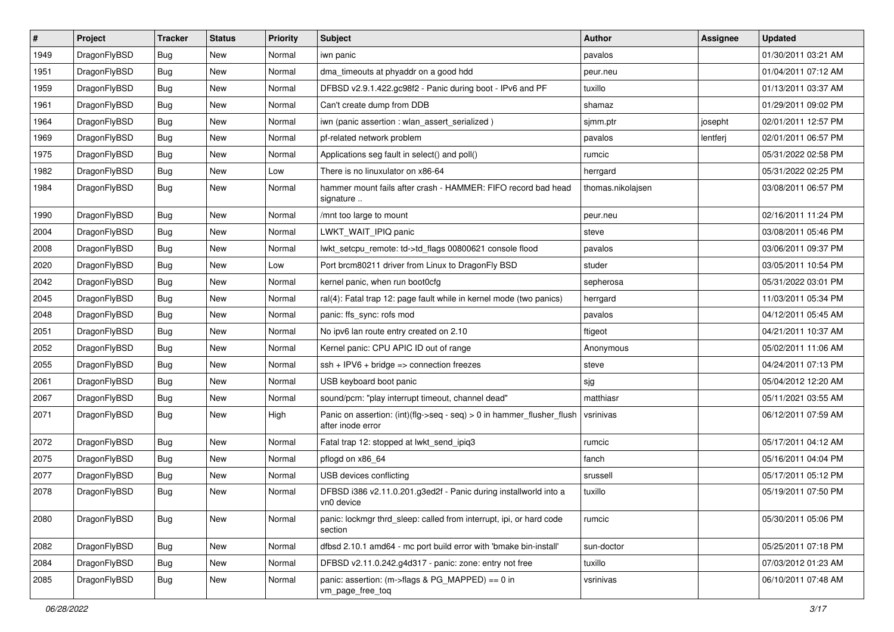| $\sharp$ | Project      | <b>Tracker</b> | <b>Status</b> | <b>Priority</b> | <b>Subject</b>                                                                             | Author            | Assignee | <b>Updated</b>      |
|----------|--------------|----------------|---------------|-----------------|--------------------------------------------------------------------------------------------|-------------------|----------|---------------------|
| 1949     | DragonFlyBSD | <b>Bug</b>     | New           | Normal          | iwn panic                                                                                  | pavalos           |          | 01/30/2011 03:21 AM |
| 1951     | DragonFlyBSD | <b>Bug</b>     | <b>New</b>    | Normal          | dma_timeouts at phyaddr on a good hdd                                                      | peur.neu          |          | 01/04/2011 07:12 AM |
| 1959     | DragonFlyBSD | <b>Bug</b>     | New           | Normal          | DFBSD v2.9.1.422.gc98f2 - Panic during boot - IPv6 and PF                                  | tuxillo           |          | 01/13/2011 03:37 AM |
| 1961     | DragonFlyBSD | <b>Bug</b>     | <b>New</b>    | Normal          | Can't create dump from DDB                                                                 | shamaz            |          | 01/29/2011 09:02 PM |
| 1964     | DragonFlyBSD | <b>Bug</b>     | <b>New</b>    | Normal          | iwn (panic assertion : wlan assert serialized)                                             | sjmm.ptr          | josepht  | 02/01/2011 12:57 PM |
| 1969     | DragonFlyBSD | <b>Bug</b>     | <b>New</b>    | Normal          | pf-related network problem                                                                 | pavalos           | lentferj | 02/01/2011 06:57 PM |
| 1975     | DragonFlyBSD | <b>Bug</b>     | New           | Normal          | Applications seg fault in select() and poll()                                              | rumcic            |          | 05/31/2022 02:58 PM |
| 1982     | DragonFlyBSD | <b>Bug</b>     | <b>New</b>    | Low             | There is no linuxulator on x86-64                                                          | herrgard          |          | 05/31/2022 02:25 PM |
| 1984     | DragonFlyBSD | <b>Bug</b>     | New           | Normal          | hammer mount fails after crash - HAMMER: FIFO record bad head<br>signature                 | thomas.nikolajsen |          | 03/08/2011 06:57 PM |
| 1990     | DragonFlyBSD | <b>Bug</b>     | <b>New</b>    | Normal          | /mnt too large to mount                                                                    | peur.neu          |          | 02/16/2011 11:24 PM |
| 2004     | DragonFlyBSD | <b>Bug</b>     | New           | Normal          | LWKT WAIT IPIQ panic                                                                       | steve             |          | 03/08/2011 05:46 PM |
| 2008     | DragonFlyBSD | <b>Bug</b>     | <b>New</b>    | Normal          | lwkt_setcpu_remote: td->td_flags 00800621 console flood                                    | pavalos           |          | 03/06/2011 09:37 PM |
| 2020     | DragonFlyBSD | <b>Bug</b>     | <b>New</b>    | Low             | Port brcm80211 driver from Linux to DragonFly BSD                                          | studer            |          | 03/05/2011 10:54 PM |
| 2042     | DragonFlyBSD | <b>Bug</b>     | New           | Normal          | kernel panic, when run boot0cfg                                                            | sepherosa         |          | 05/31/2022 03:01 PM |
| 2045     | DragonFlyBSD | <b>Bug</b>     | <b>New</b>    | Normal          | ral(4): Fatal trap 12: page fault while in kernel mode (two panics)                        | herrgard          |          | 11/03/2011 05:34 PM |
| 2048     | DragonFlyBSD | <b>Bug</b>     | New           | Normal          | panic: ffs_sync: rofs mod                                                                  | pavalos           |          | 04/12/2011 05:45 AM |
| 2051     | DragonFlyBSD | <b>Bug</b>     | <b>New</b>    | Normal          | No ipv6 lan route entry created on 2.10                                                    | ftigeot           |          | 04/21/2011 10:37 AM |
| 2052     | DragonFlyBSD | <b>Bug</b>     | <b>New</b>    | Normal          | Kernel panic: CPU APIC ID out of range                                                     | Anonymous         |          | 05/02/2011 11:06 AM |
| 2055     | DragonFlyBSD | <b>Bug</b>     | <b>New</b>    | Normal          | $ssh + IPV6 + bridge \Rightarrow connection freezes$                                       | steve             |          | 04/24/2011 07:13 PM |
| 2061     | DragonFlyBSD | <b>Bug</b>     | New           | Normal          | USB keyboard boot panic                                                                    | sjg               |          | 05/04/2012 12:20 AM |
| 2067     | DragonFlyBSD | <b>Bug</b>     | New           | Normal          | sound/pcm: "play interrupt timeout, channel dead"                                          | matthiasr         |          | 05/11/2021 03:55 AM |
| 2071     | DragonFlyBSD | Bug            | New           | High            | Panic on assertion: (int)(flg->seq - seq) > 0 in hammer_flusher_flush<br>after inode error | vsrinivas         |          | 06/12/2011 07:59 AM |
| 2072     | DragonFlyBSD | Bug            | New           | Normal          | Fatal trap 12: stopped at lwkt_send_ipiq3                                                  | rumcic            |          | 05/17/2011 04:12 AM |
| 2075     | DragonFlyBSD | <b>Bug</b>     | New           | Normal          | pflogd on x86_64                                                                           | fanch             |          | 05/16/2011 04:04 PM |
| 2077     | DragonFlyBSD | <b>Bug</b>     | <b>New</b>    | Normal          | USB devices conflicting                                                                    | srussell          |          | 05/17/2011 05:12 PM |
| 2078     | DragonFlyBSD | Bug            | New           | Normal          | DFBSD i386 v2.11.0.201.g3ed2f - Panic during installworld into a<br>vn0 device             | tuxillo           |          | 05/19/2011 07:50 PM |
| 2080     | DragonFlyBSD | Bug            | New           | Normal          | panic: lockmgr thrd sleep: called from interrupt, ipi, or hard code<br>section             | rumcic            |          | 05/30/2011 05:06 PM |
| 2082     | DragonFlyBSD | Bug            | <b>New</b>    | Normal          | dfbsd 2.10.1 amd64 - mc port build error with 'bmake bin-install'                          | sun-doctor        |          | 05/25/2011 07:18 PM |
| 2084     | DragonFlyBSD | <b>Bug</b>     | New           | Normal          | DFBSD v2.11.0.242.g4d317 - panic: zone: entry not free                                     | tuxillo           |          | 07/03/2012 01:23 AM |
| 2085     | DragonFlyBSD | Bug            | New           | Normal          | panic: assertion: (m->flags & PG_MAPPED) == 0 in<br>vm_page_free_toq                       | vsrinivas         |          | 06/10/2011 07:48 AM |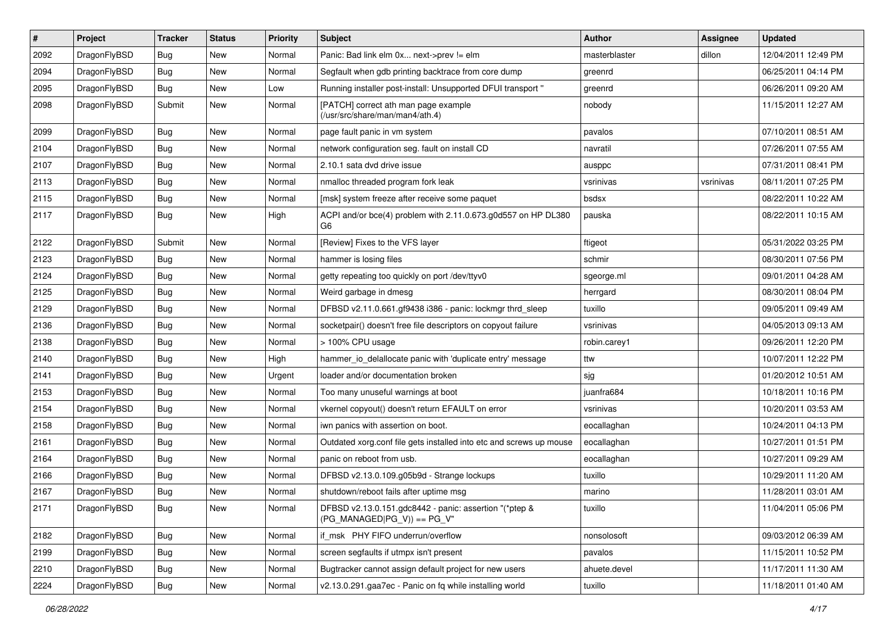| #    | Project      | <b>Tracker</b> | <b>Status</b> | <b>Priority</b> | Subject                                                                                 | Author        | <b>Assignee</b> | <b>Updated</b>      |
|------|--------------|----------------|---------------|-----------------|-----------------------------------------------------------------------------------------|---------------|-----------------|---------------------|
| 2092 | DragonFlyBSD | Bug            | <b>New</b>    | Normal          | Panic: Bad link elm 0x next->prev != elm                                                | masterblaster | dillon          | 12/04/2011 12:49 PM |
| 2094 | DragonFlyBSD | Bug            | <b>New</b>    | Normal          | Segfault when gdb printing backtrace from core dump                                     | greenrd       |                 | 06/25/2011 04:14 PM |
| 2095 | DragonFlyBSD | <b>Bug</b>     | New           | Low             | Running installer post-install: Unsupported DFUI transport "                            | greenrd       |                 | 06/26/2011 09:20 AM |
| 2098 | DragonFlyBSD | Submit         | New           | Normal          | [PATCH] correct ath man page example<br>(/usr/src/share/man/man4/ath.4)                 | nobody        |                 | 11/15/2011 12:27 AM |
| 2099 | DragonFlyBSD | <b>Bug</b>     | New           | Normal          | page fault panic in vm system                                                           | pavalos       |                 | 07/10/2011 08:51 AM |
| 2104 | DragonFlyBSD | Bug            | <b>New</b>    | Normal          | network configuration seg. fault on install CD                                          | navratil      |                 | 07/26/2011 07:55 AM |
| 2107 | DragonFlyBSD | <b>Bug</b>     | New           | Normal          | 2.10.1 sata dvd drive issue                                                             | ausppc        |                 | 07/31/2011 08:41 PM |
| 2113 | DragonFlyBSD | Bug            | <b>New</b>    | Normal          | nmalloc threaded program fork leak                                                      | vsrinivas     | vsrinivas       | 08/11/2011 07:25 PM |
| 2115 | DragonFlyBSD | Bug            | <b>New</b>    | Normal          | [msk] system freeze after receive some paquet                                           | bsdsx         |                 | 08/22/2011 10:22 AM |
| 2117 | DragonFlyBSD | <b>Bug</b>     | New           | High            | ACPI and/or bce(4) problem with 2.11.0.673.g0d557 on HP DL380<br>G6                     | pauska        |                 | 08/22/2011 10:15 AM |
| 2122 | DragonFlyBSD | Submit         | New           | Normal          | [Review] Fixes to the VFS layer                                                         | ftigeot       |                 | 05/31/2022 03:25 PM |
| 2123 | DragonFlyBSD | Bug            | New           | Normal          | hammer is losing files                                                                  | schmir        |                 | 08/30/2011 07:56 PM |
| 2124 | DragonFlyBSD | Bug            | <b>New</b>    | Normal          | getty repeating too quickly on port /dev/ttyv0                                          | sgeorge.ml    |                 | 09/01/2011 04:28 AM |
| 2125 | DragonFlyBSD | <b>Bug</b>     | New           | Normal          | Weird garbage in dmesg                                                                  | herrgard      |                 | 08/30/2011 08:04 PM |
| 2129 | DragonFlyBSD | Bug            | New           | Normal          | DFBSD v2.11.0.661.gf9438 i386 - panic: lockmgr thrd_sleep                               | tuxillo       |                 | 09/05/2011 09:49 AM |
| 2136 | DragonFlyBSD | Bug            | <b>New</b>    | Normal          | socketpair() doesn't free file descriptors on copyout failure                           | vsrinivas     |                 | 04/05/2013 09:13 AM |
| 2138 | DragonFlyBSD | <b>Bug</b>     | New           | Normal          | > 100% CPU usage                                                                        | robin.carey1  |                 | 09/26/2011 12:20 PM |
| 2140 | DragonFlyBSD | Bug            | <b>New</b>    | High            | hammer_io_delallocate panic with 'duplicate entry' message                              | ttw           |                 | 10/07/2011 12:22 PM |
| 2141 | DragonFlyBSD | <b>Bug</b>     | New           | Urgent          | loader and/or documentation broken                                                      | sjg           |                 | 01/20/2012 10:51 AM |
| 2153 | DragonFlyBSD | <b>Bug</b>     | New           | Normal          | Too many unuseful warnings at boot                                                      | juanfra684    |                 | 10/18/2011 10:16 PM |
| 2154 | DragonFlyBSD | <b>Bug</b>     | <b>New</b>    | Normal          | vkernel copyout() doesn't return EFAULT on error                                        | vsrinivas     |                 | 10/20/2011 03:53 AM |
| 2158 | DragonFlyBSD | <b>Bug</b>     | New           | Normal          | iwn panics with assertion on boot.                                                      | eocallaghan   |                 | 10/24/2011 04:13 PM |
| 2161 | DragonFlyBSD | Bug            | New           | Normal          | Outdated xorg.conf file gets installed into etc and screws up mouse                     | eocallaghan   |                 | 10/27/2011 01:51 PM |
| 2164 | DragonFlyBSD | Bug            | New           | Normal          | panic on reboot from usb.                                                               | eocallaghan   |                 | 10/27/2011 09:29 AM |
| 2166 | DragonFlyBSD | <b>Bug</b>     | <b>New</b>    | Normal          | DFBSD v2.13.0.109.g05b9d - Strange lockups                                              | tuxillo       |                 | 10/29/2011 11:20 AM |
| 2167 | DragonFlyBSD | <b>Bug</b>     | New           | Normal          | shutdown/reboot fails after uptime msg                                                  | marino        |                 | 11/28/2011 03:01 AM |
| 2171 | DragonFlyBSD | Bug            | New           | Normal          | DFBSD v2.13.0.151.gdc8442 - panic: assertion "(*ptep &<br>$(PG$ MANAGED PG_V)) == PG_V" | tuxillo       |                 | 11/04/2011 05:06 PM |
| 2182 | DragonFlyBSD | Bug            | New           | Normal          | if msk PHY FIFO underrun/overflow                                                       | nonsolosoft   |                 | 09/03/2012 06:39 AM |
| 2199 | DragonFlyBSD | <b>Bug</b>     | New           | Normal          | screen segfaults if utmpx isn't present                                                 | pavalos       |                 | 11/15/2011 10:52 PM |
| 2210 | DragonFlyBSD | Bug            | New           | Normal          | Bugtracker cannot assign default project for new users                                  | ahuete.devel  |                 | 11/17/2011 11:30 AM |
| 2224 | DragonFlyBSD | <b>Bug</b>     | New           | Normal          | v2.13.0.291.gaa7ec - Panic on fq while installing world                                 | tuxillo       |                 | 11/18/2011 01:40 AM |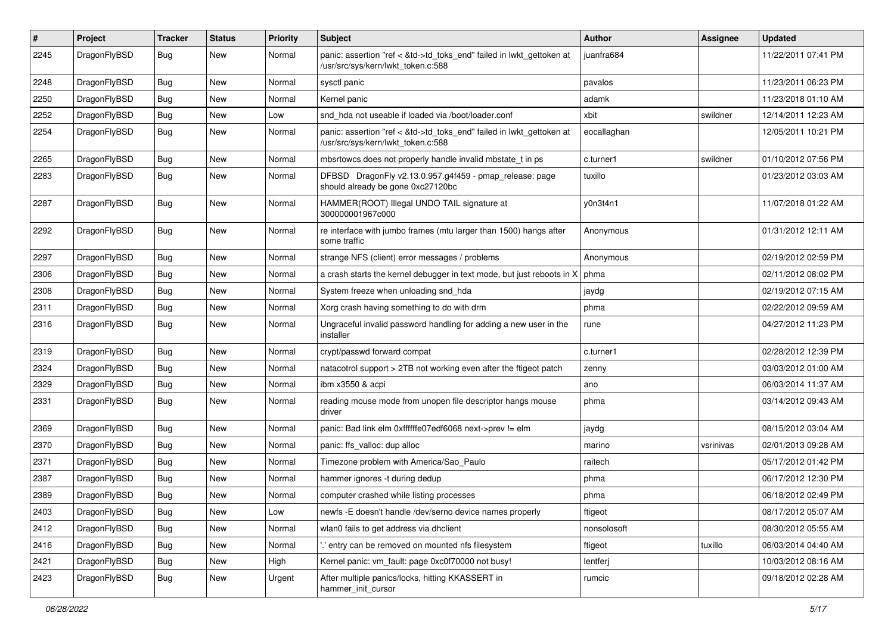| #    | Project      | <b>Tracker</b> | <b>Status</b> | <b>Priority</b> | Subject                                                                                                    | <b>Author</b> | <b>Assignee</b> | <b>Updated</b>      |
|------|--------------|----------------|---------------|-----------------|------------------------------------------------------------------------------------------------------------|---------------|-----------------|---------------------|
| 2245 | DragonFlyBSD | <b>Bug</b>     | <b>New</b>    | Normal          | panic: assertion "ref < &td->td_toks_end" failed in lwkt_gettoken at<br>/usr/src/sys/kern/lwkt_token.c:588 | juanfra684    |                 | 11/22/2011 07:41 PM |
| 2248 | DragonFlyBSD | <b>Bug</b>     | <b>New</b>    | Normal          | sysctl panic                                                                                               | pavalos       |                 | 11/23/2011 06:23 PM |
| 2250 | DragonFlyBSD | <b>Bug</b>     | New           | Normal          | Kernel panic                                                                                               | adamk         |                 | 11/23/2018 01:10 AM |
| 2252 | DragonFlyBSD | <b>Bug</b>     | <b>New</b>    | Low             | snd hda not useable if loaded via /boot/loader.conf                                                        | xbit          | swildner        | 12/14/2011 12:23 AM |
| 2254 | DragonFlyBSD | <b>Bug</b>     | New           | Normal          | panic: assertion "ref < &td->td toks end" failed in lwkt gettoken at<br>/usr/src/sys/kern/lwkt token.c:588 | eocallaghan   |                 | 12/05/2011 10:21 PM |
| 2265 | DragonFlyBSD | Bug            | <b>New</b>    | Normal          | mbsrtowcs does not properly handle invalid mbstate t in ps                                                 | c.turner1     | swildner        | 01/10/2012 07:56 PM |
| 2283 | DragonFlyBSD | <b>Bug</b>     | New           | Normal          | DFBSD DragonFly v2.13.0.957.g4f459 - pmap_release: page<br>should already be gone 0xc27120bc               | tuxillo       |                 | 01/23/2012 03:03 AM |
| 2287 | DragonFlyBSD | Bug            | <b>New</b>    | Normal          | HAMMER(ROOT) Illegal UNDO TAIL signature at<br>300000001967c000                                            | y0n3t4n1      |                 | 11/07/2018 01:22 AM |
| 2292 | DragonFlyBSD | <b>Bug</b>     | <b>New</b>    | Normal          | re interface with jumbo frames (mtu larger than 1500) hangs after<br>some traffic                          | Anonymous     |                 | 01/31/2012 12:11 AM |
| 2297 | DragonFlyBSD | Bug            | <b>New</b>    | Normal          | strange NFS (client) error messages / problems                                                             | Anonymous     |                 | 02/19/2012 02:59 PM |
| 2306 | DragonFlyBSD | <b>Bug</b>     | <b>New</b>    | Normal          | a crash starts the kernel debugger in text mode, but just reboots in X                                     | phma          |                 | 02/11/2012 08:02 PM |
| 2308 | DragonFlyBSD | <b>Bug</b>     | New           | Normal          | System freeze when unloading snd hda                                                                       | jaydg         |                 | 02/19/2012 07:15 AM |
| 2311 | DragonFlyBSD | <b>Bug</b>     | <b>New</b>    | Normal          | Xorg crash having something to do with drm                                                                 | phma          |                 | 02/22/2012 09:59 AM |
| 2316 | DragonFlyBSD | <b>Bug</b>     | <b>New</b>    | Normal          | Ungraceful invalid password handling for adding a new user in the<br>installer                             | rune          |                 | 04/27/2012 11:23 PM |
| 2319 | DragonFlyBSD | Bug            | <b>New</b>    | Normal          | crypt/passwd forward compat                                                                                | c.turner1     |                 | 02/28/2012 12:39 PM |
| 2324 | DragonFlyBSD | Bug            | <b>New</b>    | Normal          | natacotrol support > 2TB not working even after the ftigeot patch                                          | zenny         |                 | 03/03/2012 01:00 AM |
| 2329 | DragonFlyBSD | <b>Bug</b>     | New           | Normal          | ibm x3550 & acpi                                                                                           | ano           |                 | 06/03/2014 11:37 AM |
| 2331 | DragonFlyBSD | <b>Bug</b>     | New           | Normal          | reading mouse mode from unopen file descriptor hangs mouse<br>driver                                       | phma          |                 | 03/14/2012 09:43 AM |
| 2369 | DragonFlyBSD | Bug            | <b>New</b>    | Normal          | panic: Bad link elm 0xffffffe07edf6068 next->prev != elm                                                   | jaydg         |                 | 08/15/2012 03:04 AM |
| 2370 | DragonFlyBSD | <b>Bug</b>     | New           | Normal          | panic: ffs valloc: dup alloc                                                                               | marino        | vsrinivas       | 02/01/2013 09:28 AM |
| 2371 | DragonFlyBSD | <b>Bug</b>     | New           | Normal          | Timezone problem with America/Sao_Paulo                                                                    | raitech       |                 | 05/17/2012 01:42 PM |
| 2387 | DragonFlyBSD | <b>Bug</b>     | <b>New</b>    | Normal          | hammer ignores -t during dedup                                                                             | phma          |                 | 06/17/2012 12:30 PM |
| 2389 | DragonFlyBSD | Bug            | <b>New</b>    | Normal          | computer crashed while listing processes                                                                   | phma          |                 | 06/18/2012 02:49 PM |
| 2403 | DragonFlyBSD | Bug            | <b>New</b>    | Low             | newfs -E doesn't handle /dev/serno device names properly                                                   | ftigeot       |                 | 08/17/2012 05:07 AM |
| 2412 | DragonFlyBSD | Bug            | New           | Normal          | wlan0 fails to get address via dhclient                                                                    | nonsolosoft   |                 | 08/30/2012 05:55 AM |
| 2416 | DragonFlyBSD | <b>Bug</b>     | New           | Normal          | entry can be removed on mounted nfs filesystem                                                             | ftigeot       | tuxillo         | 06/03/2014 04:40 AM |
| 2421 | DragonFlyBSD | Bug            | New           | High            | Kernel panic: vm fault: page 0xc0f70000 not busy!                                                          | lentferj      |                 | 10/03/2012 08:16 AM |
| 2423 | DragonFlyBSD | <b>Bug</b>     | New           | Urgent          | After multiple panics/locks, hitting KKASSERT in<br>hammer_init_cursor                                     | rumcic        |                 | 09/18/2012 02:28 AM |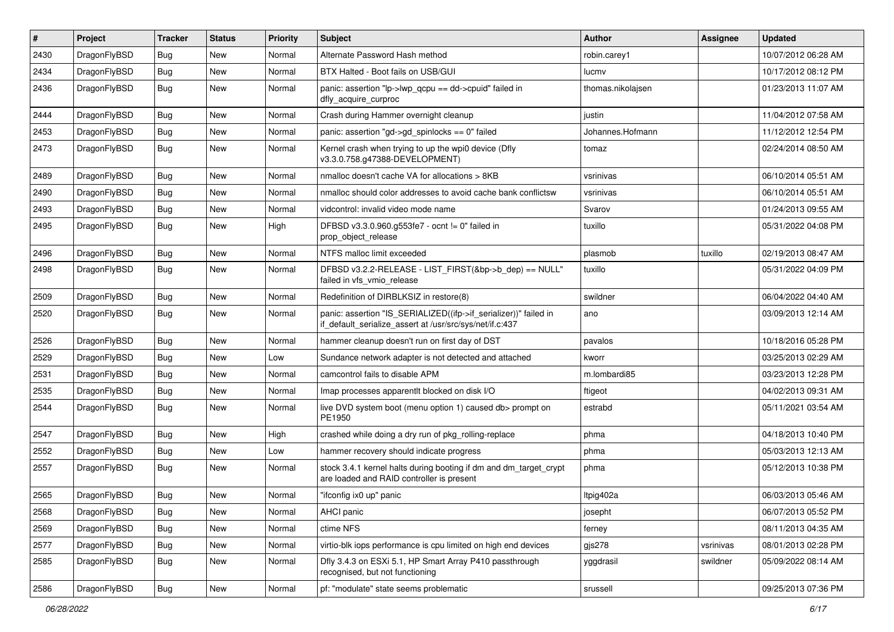| #    | Project      | <b>Tracker</b> | <b>Status</b> | <b>Priority</b> | <b>Subject</b>                                                                                                               | <b>Author</b>     | Assignee  | <b>Updated</b>      |
|------|--------------|----------------|---------------|-----------------|------------------------------------------------------------------------------------------------------------------------------|-------------------|-----------|---------------------|
| 2430 | DragonFlyBSD | Bug            | New           | Normal          | Alternate Password Hash method                                                                                               | robin.carey1      |           | 10/07/2012 06:28 AM |
| 2434 | DragonFlyBSD | <b>Bug</b>     | New           | Normal          | BTX Halted - Boot fails on USB/GUI                                                                                           | lucmv             |           | 10/17/2012 08:12 PM |
| 2436 | DragonFlyBSD | Bug            | <b>New</b>    | Normal          | panic: assertion "lp->lwp_qcpu == dd->cpuid" failed in<br>dfly_acquire_curproc                                               | thomas.nikolajsen |           | 01/23/2013 11:07 AM |
| 2444 | DragonFlyBSD | Bug            | <b>New</b>    | Normal          | Crash during Hammer overnight cleanup                                                                                        | justin            |           | 11/04/2012 07:58 AM |
| 2453 | DragonFlyBSD | <b>Bug</b>     | New           | Normal          | panic: assertion "gd->gd_spinlocks == 0" failed                                                                              | Johannes.Hofmann  |           | 11/12/2012 12:54 PM |
| 2473 | DragonFlyBSD | Bug            | New           | Normal          | Kernel crash when trying to up the wpi0 device (Dfly<br>v3.3.0.758.g47388-DEVELOPMENT)                                       | tomaz             |           | 02/24/2014 08:50 AM |
| 2489 | DragonFlyBSD | Bug            | <b>New</b>    | Normal          | nmalloc doesn't cache VA for allocations > 8KB                                                                               | vsrinivas         |           | 06/10/2014 05:51 AM |
| 2490 | DragonFlyBSD | Bug            | New           | Normal          | nmalloc should color addresses to avoid cache bank conflictsw                                                                | vsrinivas         |           | 06/10/2014 05:51 AM |
| 2493 | DragonFlyBSD | <b>Bug</b>     | <b>New</b>    | Normal          | vidcontrol: invalid video mode name                                                                                          | Svarov            |           | 01/24/2013 09:55 AM |
| 2495 | DragonFlyBSD | Bug            | New           | High            | DFBSD v3.3.0.960.g553fe7 - ocnt != 0" failed in<br>prop_object_release                                                       | tuxillo           |           | 05/31/2022 04:08 PM |
| 2496 | DragonFlyBSD | Bug            | New           | Normal          | NTFS malloc limit exceeded                                                                                                   | plasmob           | tuxillo   | 02/19/2013 08:47 AM |
| 2498 | DragonFlyBSD | Bug            | New           | Normal          | DFBSD v3.2.2-RELEASE - LIST_FIRST(&bp->b_dep) == NULL"<br>failed in vfs_vmio_release                                         | tuxillo           |           | 05/31/2022 04:09 PM |
| 2509 | DragonFlyBSD | Bug            | <b>New</b>    | Normal          | Redefinition of DIRBLKSIZ in restore(8)                                                                                      | swildner          |           | 06/04/2022 04:40 AM |
| 2520 | DragonFlyBSD | Bug            | New           | Normal          | panic: assertion "IS_SERIALIZED((ifp->if_serializer))" failed in<br>if_default_serialize_assert at /usr/src/sys/net/if.c:437 | ano               |           | 03/09/2013 12:14 AM |
| 2526 | DragonFlyBSD | <b>Bug</b>     | <b>New</b>    | Normal          | hammer cleanup doesn't run on first day of DST                                                                               | pavalos           |           | 10/18/2016 05:28 PM |
| 2529 | DragonFlyBSD | Bug            | <b>New</b>    | Low             | Sundance network adapter is not detected and attached                                                                        | kworr             |           | 03/25/2013 02:29 AM |
| 2531 | DragonFlyBSD | Bug            | New           | Normal          | camcontrol fails to disable APM                                                                                              | m.lombardi85      |           | 03/23/2013 12:28 PM |
| 2535 | DragonFlyBSD | Bug            | New           | Normal          | Imap processes apparentlt blocked on disk I/O                                                                                | ftigeot           |           | 04/02/2013 09:31 AM |
| 2544 | DragonFlyBSD | Bug            | New           | Normal          | live DVD system boot (menu option 1) caused db> prompt on<br>PE1950                                                          | estrabd           |           | 05/11/2021 03:54 AM |
| 2547 | DragonFlyBSD | <b>Bug</b>     | New           | High            | crashed while doing a dry run of pkg_rolling-replace                                                                         | phma              |           | 04/18/2013 10:40 PM |
| 2552 | DragonFlyBSD | Bug            | New           | Low             | hammer recovery should indicate progress                                                                                     | phma              |           | 05/03/2013 12:13 AM |
| 2557 | DragonFlyBSD | Bug            | New           | Normal          | stock 3.4.1 kernel halts during booting if dm and dm_target_crypt<br>are loaded and RAID controller is present               | phma              |           | 05/12/2013 10:38 PM |
| 2565 | DragonFlyBSD | Bug            | <b>New</b>    | Normal          | "ifconfig ix0 up" panic                                                                                                      | Itpig402a         |           | 06/03/2013 05:46 AM |
| 2568 | DragonFlyBSD | <b>Bug</b>     | New           | Normal          | AHCI panic                                                                                                                   | josepht           |           | 06/07/2013 05:52 PM |
| 2569 | DragonFlyBSD | <b>Bug</b>     | <b>New</b>    | Normal          | ctime NFS                                                                                                                    | ferney            |           | 08/11/2013 04:35 AM |
| 2577 | DragonFlyBSD | Bug            | <b>New</b>    | Normal          | virtio-blk iops performance is cpu limited on high end devices                                                               | gjs278            | vsrinivas | 08/01/2013 02:28 PM |
| 2585 | DragonFlyBSD | <b>Bug</b>     | New           | Normal          | Dfly 3.4.3 on ESXi 5.1, HP Smart Array P410 passthrough<br>recognised, but not functioning                                   | yggdrasil         | swildner  | 05/09/2022 08:14 AM |
| 2586 | DragonFlyBSD | <b>Bug</b>     | New           | Normal          | pf: "modulate" state seems problematic                                                                                       | srussell          |           | 09/25/2013 07:36 PM |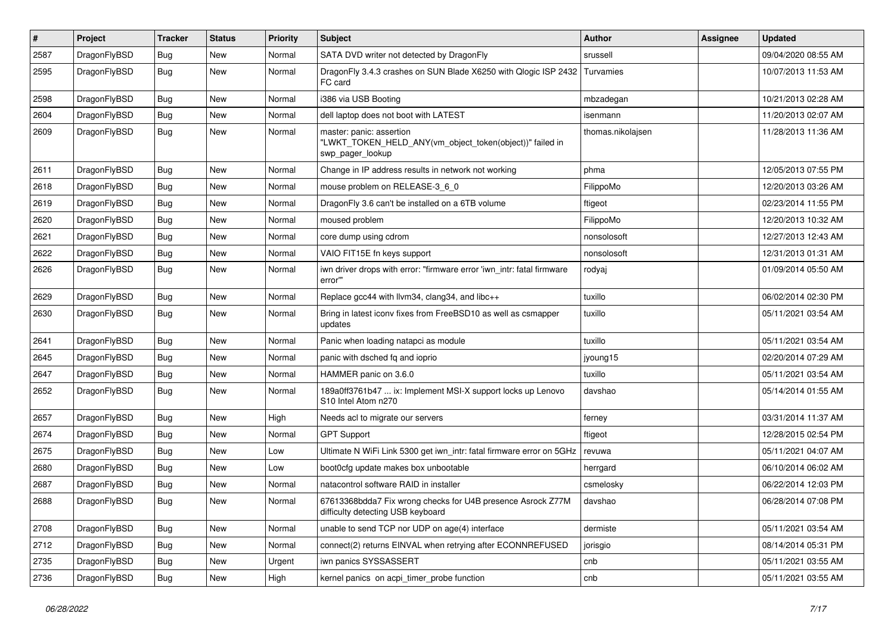| #    | Project      | <b>Tracker</b> | <b>Status</b> | <b>Priority</b> | <b>Subject</b>                                                                                           | Author            | Assignee | <b>Updated</b>      |
|------|--------------|----------------|---------------|-----------------|----------------------------------------------------------------------------------------------------------|-------------------|----------|---------------------|
| 2587 | DragonFlyBSD | Bug            | New           | Normal          | SATA DVD writer not detected by DragonFly                                                                | srussell          |          | 09/04/2020 08:55 AM |
| 2595 | DragonFlyBSD | <b>Bug</b>     | New           | Normal          | DragonFly 3.4.3 crashes on SUN Blade X6250 with Qlogic ISP 2432<br>FC card                               | Turvamies         |          | 10/07/2013 11:53 AM |
| 2598 | DragonFlyBSD | Bug            | <b>New</b>    | Normal          | i386 via USB Booting                                                                                     | mbzadegan         |          | 10/21/2013 02:28 AM |
| 2604 | DragonFlyBSD | Bug            | New           | Normal          | dell laptop does not boot with LATEST                                                                    | isenmann          |          | 11/20/2013 02:07 AM |
| 2609 | DragonFlyBSD | Bug            | <b>New</b>    | Normal          | master: panic: assertion<br>"LWKT_TOKEN_HELD_ANY(vm_object_token(object))" failed in<br>swp_pager_lookup | thomas.nikolajsen |          | 11/28/2013 11:36 AM |
| 2611 | DragonFlyBSD | Bug            | <b>New</b>    | Normal          | Change in IP address results in network not working                                                      | phma              |          | 12/05/2013 07:55 PM |
| 2618 | DragonFlyBSD | Bug            | <b>New</b>    | Normal          | mouse problem on RELEASE-3_6_0                                                                           | FilippoMo         |          | 12/20/2013 03:26 AM |
| 2619 | DragonFlyBSD | <b>Bug</b>     | New           | Normal          | DragonFly 3.6 can't be installed on a 6TB volume                                                         | ftigeot           |          | 02/23/2014 11:55 PM |
| 2620 | DragonFlyBSD | <b>Bug</b>     | <b>New</b>    | Normal          | moused problem                                                                                           | FilippoMo         |          | 12/20/2013 10:32 AM |
| 2621 | DragonFlyBSD | Bug            | <b>New</b>    | Normal          | core dump using cdrom                                                                                    | nonsolosoft       |          | 12/27/2013 12:43 AM |
| 2622 | DragonFlyBSD | <b>Bug</b>     | <b>New</b>    | Normal          | VAIO FIT15E fn keys support                                                                              | nonsolosoft       |          | 12/31/2013 01:31 AM |
| 2626 | DragonFlyBSD | Bug            | New           | Normal          | iwn driver drops with error: "firmware error 'iwn_intr: fatal firmware<br>error"                         | rodyaj            |          | 01/09/2014 05:50 AM |
| 2629 | DragonFlyBSD | Bug            | New           | Normal          | Replace gcc44 with llvm34, clang34, and libc++                                                           | tuxillo           |          | 06/02/2014 02:30 PM |
| 2630 | DragonFlyBSD | Bug            | <b>New</b>    | Normal          | Bring in latest iconv fixes from FreeBSD10 as well as csmapper<br>updates                                | tuxillo           |          | 05/11/2021 03:54 AM |
| 2641 | DragonFlyBSD | Bug            | <b>New</b>    | Normal          | Panic when loading natapci as module                                                                     | tuxillo           |          | 05/11/2021 03:54 AM |
| 2645 | DragonFlyBSD | Bug            | <b>New</b>    | Normal          | panic with dsched fq and ioprio                                                                          | jyoung15          |          | 02/20/2014 07:29 AM |
| 2647 | DragonFlyBSD | <b>Bug</b>     | New           | Normal          | HAMMER panic on 3.6.0                                                                                    | tuxillo           |          | 05/11/2021 03:54 AM |
| 2652 | DragonFlyBSD | <b>Bug</b>     | New           | Normal          | 189a0ff3761b47  ix: Implement MSI-X support locks up Lenovo<br>S10 Intel Atom n270                       | davshao           |          | 05/14/2014 01:55 AM |
| 2657 | DragonFlyBSD | Bug            | <b>New</b>    | High            | Needs acl to migrate our servers                                                                         | ferney            |          | 03/31/2014 11:37 AM |
| 2674 | DragonFlyBSD | Bug            | <b>New</b>    | Normal          | <b>GPT Support</b>                                                                                       | ftigeot           |          | 12/28/2015 02:54 PM |
| 2675 | DragonFlyBSD | <b>Bug</b>     | <b>New</b>    | Low             | Ultimate N WiFi Link 5300 get iwn_intr: fatal firmware error on 5GHz                                     | revuwa            |          | 05/11/2021 04:07 AM |
| 2680 | DragonFlyBSD | <b>Bug</b>     | <b>New</b>    | Low             | boot0cfg update makes box unbootable                                                                     | herrgard          |          | 06/10/2014 06:02 AM |
| 2687 | DragonFlyBSD | <b>Bug</b>     | New           | Normal          | natacontrol software RAID in installer                                                                   | csmelosky         |          | 06/22/2014 12:03 PM |
| 2688 | DragonFlyBSD | Bug            | New           | Normal          | 67613368bdda7 Fix wrong checks for U4B presence Asrock Z77M<br>difficulty detecting USB keyboard         | davshao           |          | 06/28/2014 07:08 PM |
| 2708 | DragonFlyBSD | <b>Bug</b>     | <b>New</b>    | Normal          | unable to send TCP nor UDP on age(4) interface                                                           | dermiste          |          | 05/11/2021 03:54 AM |
| 2712 | DragonFlyBSD | Bug            | New           | Normal          | connect(2) returns EINVAL when retrying after ECONNREFUSED                                               | jorisgio          |          | 08/14/2014 05:31 PM |
| 2735 | DragonFlyBSD | Bug            | <b>New</b>    | Urgent          | iwn panics SYSSASSERT                                                                                    | cnb               |          | 05/11/2021 03:55 AM |
| 2736 | DragonFlyBSD | <b>Bug</b>     | New           | High            | kernel panics on acpi_timer_probe function                                                               | cnb               |          | 05/11/2021 03:55 AM |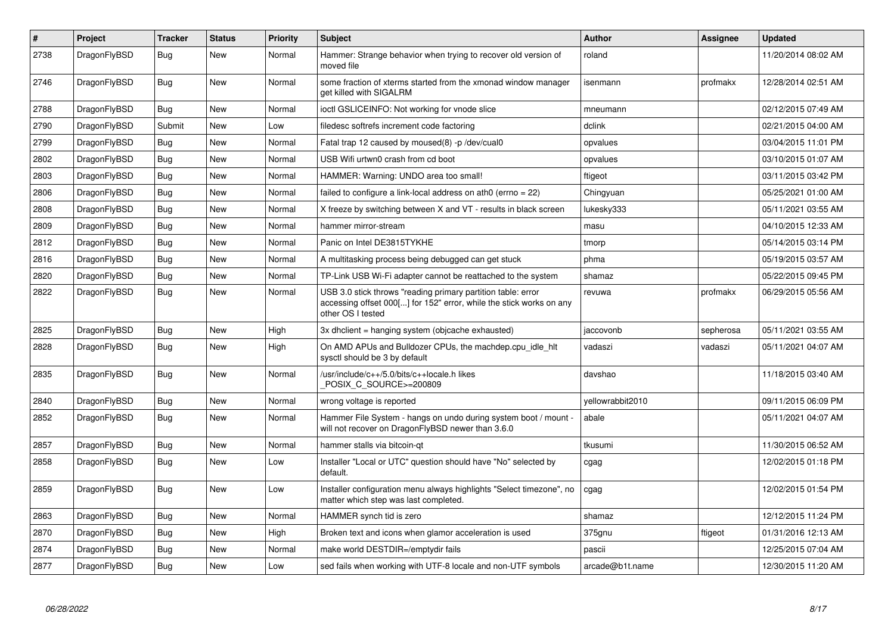| $\vert$ # | Project      | <b>Tracker</b> | <b>Status</b> | <b>Priority</b> | <b>Subject</b>                                                                                                                                           | <b>Author</b>    | Assignee  | <b>Updated</b>      |
|-----------|--------------|----------------|---------------|-----------------|----------------------------------------------------------------------------------------------------------------------------------------------------------|------------------|-----------|---------------------|
| 2738      | DragonFlyBSD | Bug            | <b>New</b>    | Normal          | Hammer: Strange behavior when trying to recover old version of<br>moved file                                                                             | roland           |           | 11/20/2014 08:02 AM |
| 2746      | DragonFlyBSD | Bug            | New           | Normal          | some fraction of xterms started from the xmonad window manager<br>get killed with SIGALRM                                                                | isenmann         | profmakx  | 12/28/2014 02:51 AM |
| 2788      | DragonFlyBSD | Bug            | <b>New</b>    | Normal          | ioctl GSLICEINFO: Not working for vnode slice                                                                                                            | mneumann         |           | 02/12/2015 07:49 AM |
| 2790      | DragonFlyBSD | Submit         | New           | Low             | filedesc softrefs increment code factoring                                                                                                               | dclink           |           | 02/21/2015 04:00 AM |
| 2799      | DragonFlyBSD | Bug            | <b>New</b>    | Normal          | Fatal trap 12 caused by moused(8) -p/dev/cual0                                                                                                           | opvalues         |           | 03/04/2015 11:01 PM |
| 2802      | DragonFlyBSD | <b>Bug</b>     | <b>New</b>    | Normal          | USB Wifi urtwn0 crash from cd boot                                                                                                                       | opvalues         |           | 03/10/2015 01:07 AM |
| 2803      | DragonFlyBSD | Bug            | <b>New</b>    | Normal          | HAMMER: Warning: UNDO area too small!                                                                                                                    | ftigeot          |           | 03/11/2015 03:42 PM |
| 2806      | DragonFlyBSD | <b>Bug</b>     | <b>New</b>    | Normal          | failed to configure a link-local address on ath $0$ (errno = 22)                                                                                         | Chingyuan        |           | 05/25/2021 01:00 AM |
| 2808      | DragonFlyBSD | <b>Bug</b>     | <b>New</b>    | Normal          | X freeze by switching between X and VT - results in black screen                                                                                         | lukesky333       |           | 05/11/2021 03:55 AM |
| 2809      | DragonFlyBSD | Bug            | <b>New</b>    | Normal          | hammer mirror-stream                                                                                                                                     | masu             |           | 04/10/2015 12:33 AM |
| 2812      | DragonFlyBSD | Bug            | <b>New</b>    | Normal          | Panic on Intel DE3815TYKHE                                                                                                                               | tmorp            |           | 05/14/2015 03:14 PM |
| 2816      | DragonFlyBSD | Bug            | New           | Normal          | A multitasking process being debugged can get stuck                                                                                                      | phma             |           | 05/19/2015 03:57 AM |
| 2820      | DragonFlyBSD | Bug            | New           | Normal          | TP-Link USB Wi-Fi adapter cannot be reattached to the system                                                                                             | shamaz           |           | 05/22/2015 09:45 PM |
| 2822      | DragonFlyBSD | <b>Bug</b>     | <b>New</b>    | Normal          | USB 3.0 stick throws "reading primary partition table: error<br>accessing offset 000[] for 152" error, while the stick works on any<br>other OS I tested | revuwa           | profmakx  | 06/29/2015 05:56 AM |
| 2825      | DragonFlyBSD | <b>Bug</b>     | <b>New</b>    | High            | 3x dhclient = hanging system (objcache exhausted)                                                                                                        | jaccovonb        | sepherosa | 05/11/2021 03:55 AM |
| 2828      | DragonFlyBSD | Bug            | New           | High            | On AMD APUs and Bulldozer CPUs, the machdep.cpu idle hit<br>sysctl should be 3 by default                                                                | vadaszi          | vadaszi   | 05/11/2021 04:07 AM |
| 2835      | DragonFlyBSD | Bug            | <b>New</b>    | Normal          | /usr/include/c++/5.0/bits/c++locale.h likes<br>POSIX C SOURCE>=200809                                                                                    | davshao          |           | 11/18/2015 03:40 AM |
| 2840      | DragonFlyBSD | <b>Bug</b>     | <b>New</b>    | Normal          | wrong voltage is reported                                                                                                                                | yellowrabbit2010 |           | 09/11/2015 06:09 PM |
| 2852      | DragonFlyBSD | Bug            | New           | Normal          | Hammer File System - hangs on undo during system boot / mount -<br>will not recover on DragonFlyBSD newer than 3.6.0                                     | abale            |           | 05/11/2021 04:07 AM |
| 2857      | DragonFlyBSD | <b>Bug</b>     | <b>New</b>    | Normal          | hammer stalls via bitcoin-qt                                                                                                                             | tkusumi          |           | 11/30/2015 06:52 AM |
| 2858      | DragonFlyBSD | Bug            | New           | Low             | Installer "Local or UTC" question should have "No" selected by<br>default.                                                                               | cgag             |           | 12/02/2015 01:18 PM |
| 2859      | DragonFlyBSD | <b>Bug</b>     | <b>New</b>    | Low             | Installer configuration menu always highlights "Select timezone", no<br>matter which step was last completed.                                            | cgag             |           | 12/02/2015 01:54 PM |
| 2863      | DragonFlyBSD | <b>Bug</b>     | <b>New</b>    | Normal          | HAMMER synch tid is zero                                                                                                                                 | shamaz           |           | 12/12/2015 11:24 PM |
| 2870      | DragonFlyBSD | Bug            | New           | High            | Broken text and icons when glamor acceleration is used                                                                                                   | 375gnu           | ftigeot   | 01/31/2016 12:13 AM |
| 2874      | DragonFlyBSD | Bug            | New           | Normal          | make world DESTDIR=/emptydir fails                                                                                                                       | pascii           |           | 12/25/2015 07:04 AM |
| 2877      | DragonFlyBSD | Bug            | <b>New</b>    | Low             | sed fails when working with UTF-8 locale and non-UTF symbols                                                                                             | arcade@b1t.name  |           | 12/30/2015 11:20 AM |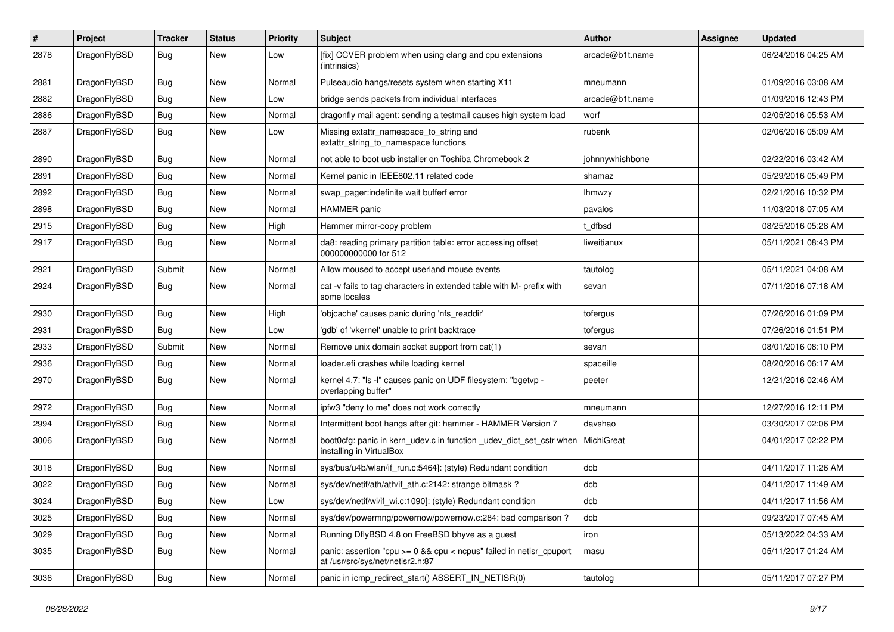| $\#$ | Project      | <b>Tracker</b> | <b>Status</b> | <b>Priority</b> | <b>Subject</b>                                                                                          | <b>Author</b>   | Assignee | <b>Updated</b>      |
|------|--------------|----------------|---------------|-----------------|---------------------------------------------------------------------------------------------------------|-----------------|----------|---------------------|
| 2878 | DragonFlyBSD | <b>Bug</b>     | New           | Low             | [fix] CCVER problem when using clang and cpu extensions<br>(intrinsics)                                 | arcade@b1t.name |          | 06/24/2016 04:25 AM |
| 2881 | DragonFlyBSD | <b>Bug</b>     | New           | Normal          | Pulseaudio hangs/resets system when starting X11                                                        | mneumann        |          | 01/09/2016 03:08 AM |
| 2882 | DragonFlyBSD | <b>Bug</b>     | New           | Low             | bridge sends packets from individual interfaces                                                         | arcade@b1t.name |          | 01/09/2016 12:43 PM |
| 2886 | DragonFlyBSD | <b>Bug</b>     | New           | Normal          | dragonfly mail agent: sending a testmail causes high system load                                        | worf            |          | 02/05/2016 05:53 AM |
| 2887 | DragonFlyBSD | <b>Bug</b>     | <b>New</b>    | Low             | Missing extattr_namespace_to_string and<br>extattr_string_to_namespace functions                        | rubenk          |          | 02/06/2016 05:09 AM |
| 2890 | DragonFlyBSD | <b>Bug</b>     | New           | Normal          | not able to boot usb installer on Toshiba Chromebook 2                                                  | johnnywhishbone |          | 02/22/2016 03:42 AM |
| 2891 | DragonFlyBSD | <b>Bug</b>     | New           | Normal          | Kernel panic in IEEE802.11 related code                                                                 | shamaz          |          | 05/29/2016 05:49 PM |
| 2892 | DragonFlyBSD | Bug            | <b>New</b>    | Normal          | swap_pager:indefinite wait bufferf error                                                                | <b>Ihmwzy</b>   |          | 02/21/2016 10:32 PM |
| 2898 | DragonFlyBSD | <b>Bug</b>     | New           | Normal          | <b>HAMMER</b> panic                                                                                     | pavalos         |          | 11/03/2018 07:05 AM |
| 2915 | DragonFlyBSD | <b>Bug</b>     | New           | High            | Hammer mirror-copy problem                                                                              | t dfbsd         |          | 08/25/2016 05:28 AM |
| 2917 | DragonFlyBSD | Bug            | New           | Normal          | da8: reading primary partition table: error accessing offset<br>000000000000 for 512                    | liweitianux     |          | 05/11/2021 08:43 PM |
| 2921 | DragonFlyBSD | Submit         | New           | Normal          | Allow moused to accept userland mouse events                                                            | tautolog        |          | 05/11/2021 04:08 AM |
| 2924 | DragonFlyBSD | Bug            | <b>New</b>    | Normal          | cat -v fails to tag characters in extended table with M- prefix with<br>some locales                    | sevan           |          | 07/11/2016 07:18 AM |
| 2930 | DragonFlyBSD | Bug            | <b>New</b>    | High            | 'objcache' causes panic during 'nfs_readdir'                                                            | tofergus        |          | 07/26/2016 01:09 PM |
| 2931 | DragonFlyBSD | <b>Bug</b>     | New           | Low             | 'gdb' of 'vkernel' unable to print backtrace                                                            | tofergus        |          | 07/26/2016 01:51 PM |
| 2933 | DragonFlyBSD | Submit         | New           | Normal          | Remove unix domain socket support from cat(1)                                                           | sevan           |          | 08/01/2016 08:10 PM |
| 2936 | DragonFlyBSD | Bug            | New           | Normal          | loader.efi crashes while loading kernel                                                                 | spaceille       |          | 08/20/2016 06:17 AM |
| 2970 | DragonFlyBSD | <b>Bug</b>     | <b>New</b>    | Normal          | kernel 4.7: "Is -l" causes panic on UDF filesystem: "bgetvp -<br>overlapping buffer"                    | peeter          |          | 12/21/2016 02:46 AM |
| 2972 | DragonFlyBSD | <b>Bug</b>     | New           | Normal          | ipfw3 "deny to me" does not work correctly                                                              | mneumann        |          | 12/27/2016 12:11 PM |
| 2994 | DragonFlyBSD | <b>Bug</b>     | New           | Normal          | Intermittent boot hangs after git: hammer - HAMMER Version 7                                            | davshao         |          | 03/30/2017 02:06 PM |
| 3006 | DragonFlyBSD | Bug            | New           | Normal          | boot0cfg: panic in kern_udev.c in function _udev_dict_set_cstr when<br>installing in VirtualBox         | MichiGreat      |          | 04/01/2017 02:22 PM |
| 3018 | DragonFlyBSD | <b>Bug</b>     | New           | Normal          | sys/bus/u4b/wlan/if_run.c:5464]: (style) Redundant condition                                            | dcb             |          | 04/11/2017 11:26 AM |
| 3022 | DragonFlyBSD | <b>Bug</b>     | New           | Normal          | sys/dev/netif/ath/ath/if_ath.c:2142: strange bitmask?                                                   | dcb             |          | 04/11/2017 11:49 AM |
| 3024 | DragonFlyBSD | Bug            | <b>New</b>    | Low             | sys/dev/netif/wi/if_wi.c:1090]: (style) Redundant condition                                             | dcb             |          | 04/11/2017 11:56 AM |
| 3025 | DragonFlyBSD | <b>Bug</b>     | New           | Normal          | sys/dev/powermng/powernow/powernow.c:284: bad comparison?                                               | dcb             |          | 09/23/2017 07:45 AM |
| 3029 | DragonFlyBSD | <b>Bug</b>     | New           | Normal          | Running DflyBSD 4.8 on FreeBSD bhyve as a guest                                                         | iron            |          | 05/13/2022 04:33 AM |
| 3035 | DragonFlyBSD | <b>Bug</b>     | New           | Normal          | panic: assertion "cpu >= 0 && cpu < ncpus" failed in netisr_cpuport<br>at /usr/src/sys/net/netisr2.h:87 | masu            |          | 05/11/2017 01:24 AM |
| 3036 | DragonFlyBSD | <b>Bug</b>     | New           | Normal          | panic in icmp_redirect_start() ASSERT_IN_NETISR(0)                                                      | tautolog        |          | 05/11/2017 07:27 PM |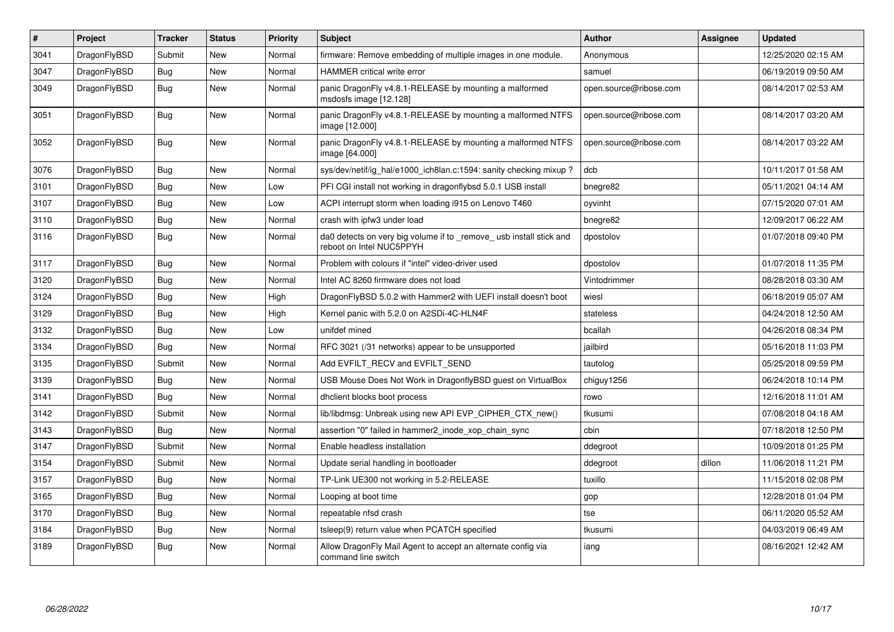| $\pmb{\#}$ | <b>Project</b> | <b>Tracker</b> | <b>Status</b> | Priority | <b>Subject</b>                                                                                  | <b>Author</b>          | Assignee | <b>Updated</b>      |
|------------|----------------|----------------|---------------|----------|-------------------------------------------------------------------------------------------------|------------------------|----------|---------------------|
| 3041       | DragonFlyBSD   | Submit         | <b>New</b>    | Normal   | firmware: Remove embedding of multiple images in one module.                                    | Anonymous              |          | 12/25/2020 02:15 AM |
| 3047       | DragonFlyBSD   | Bug            | <b>New</b>    | Normal   | <b>HAMMER</b> critical write error                                                              | samuel                 |          | 06/19/2019 09:50 AM |
| 3049       | DragonFlyBSD   | <b>Bug</b>     | <b>New</b>    | Normal   | panic DragonFly v4.8.1-RELEASE by mounting a malformed<br>msdosfs image [12.128]                | open.source@ribose.com |          | 08/14/2017 02:53 AM |
| 3051       | DragonFlyBSD   | Bug            | <b>New</b>    | Normal   | panic DragonFly v4.8.1-RELEASE by mounting a malformed NTFS<br>image [12.000]                   | open.source@ribose.com |          | 08/14/2017 03:20 AM |
| 3052       | DragonFlyBSD   | Bug            | New           | Normal   | panic DragonFly v4.8.1-RELEASE by mounting a malformed NTFS<br>image [64.000]                   | open.source@ribose.com |          | 08/14/2017 03:22 AM |
| 3076       | DragonFlyBSD   | <b>Bug</b>     | <b>New</b>    | Normal   | sys/dev/netif/ig hal/e1000 ich8lan.c:1594: sanity checking mixup?                               | dcb                    |          | 10/11/2017 01:58 AM |
| 3101       | DragonFlyBSD   | <b>Bug</b>     | <b>New</b>    | Low      | PFI CGI install not working in dragonflybsd 5.0.1 USB install                                   | bnegre82               |          | 05/11/2021 04:14 AM |
| 3107       | DragonFlyBSD   | Bug            | <b>New</b>    | Low      | ACPI interrupt storm when loading i915 on Lenovo T460                                           | oyvinht                |          | 07/15/2020 07:01 AM |
| 3110       | DragonFlyBSD   | Bug            | <b>New</b>    | Normal   | crash with ipfw3 under load                                                                     | bnegre82               |          | 12/09/2017 06:22 AM |
| 3116       | DragonFlyBSD   | Bug            | <b>New</b>    | Normal   | da0 detects on very big volume if to _remove_ usb install stick and<br>reboot on Intel NUC5PPYH | dpostolov              |          | 01/07/2018 09:40 PM |
| 3117       | DragonFlyBSD   | <b>Bug</b>     | <b>New</b>    | Normal   | Problem with colours if "intel" video-driver used                                               | dpostolov              |          | 01/07/2018 11:35 PM |
| 3120       | DragonFlyBSD   | Bug            | <b>New</b>    | Normal   | Intel AC 8260 firmware does not load                                                            | Vintodrimmer           |          | 08/28/2018 03:30 AM |
| 3124       | DragonFlyBSD   | Bug            | New           | High     | DragonFlyBSD 5.0.2 with Hammer2 with UEFI install doesn't boot                                  | wiesl                  |          | 06/18/2019 05:07 AM |
| 3129       | DragonFlyBSD   | <b>Bug</b>     | <b>New</b>    | High     | Kernel panic with 5.2.0 on A2SDi-4C-HLN4F                                                       | stateless              |          | 04/24/2018 12:50 AM |
| 3132       | DragonFlyBSD   | Bug            | <b>New</b>    | Low      | unifdef mined                                                                                   | bcallah                |          | 04/26/2018 08:34 PM |
| 3134       | DragonFlyBSD   | Bug            | <b>New</b>    | Normal   | RFC 3021 (/31 networks) appear to be unsupported                                                | jailbird               |          | 05/16/2018 11:03 PM |
| 3135       | DragonFlyBSD   | Submit         | <b>New</b>    | Normal   | Add EVFILT RECV and EVFILT SEND                                                                 | tautolog               |          | 05/25/2018 09:59 PM |
| 3139       | DragonFlyBSD   | <b>Bug</b>     | <b>New</b>    | Normal   | USB Mouse Does Not Work in DragonflyBSD guest on VirtualBox                                     | chiguy1256             |          | 06/24/2018 10:14 PM |
| 3141       | DragonFlyBSD   | Bug            | <b>New</b>    | Normal   | dhclient blocks boot process                                                                    | rowo                   |          | 12/16/2018 11:01 AM |
| 3142       | DragonFlyBSD   | Submit         | <b>New</b>    | Normal   | lib/libdmsg: Unbreak using new API EVP CIPHER CTX new()                                         | tkusumi                |          | 07/08/2018 04:18 AM |
| 3143       | DragonFlyBSD   | Bug            | <b>New</b>    | Normal   | assertion "0" failed in hammer2_inode_xop_chain_sync                                            | cbin                   |          | 07/18/2018 12:50 PM |
| 3147       | DragonFlyBSD   | Submit         | <b>New</b>    | Normal   | Enable headless installation                                                                    | ddegroot               |          | 10/09/2018 01:25 PM |
| 3154       | DragonFlyBSD   | Submit         | <b>New</b>    | Normal   | Update serial handling in bootloader                                                            | ddegroot               | dillon   | 11/06/2018 11:21 PM |
| 3157       | DragonFlyBSD   | Bug            | <b>New</b>    | Normal   | TP-Link UE300 not working in 5.2-RELEASE                                                        | tuxillo                |          | 11/15/2018 02:08 PM |
| 3165       | DragonFlyBSD   | <b>Bug</b>     | New           | Normal   | Looping at boot time                                                                            | gop                    |          | 12/28/2018 01:04 PM |
| 3170       | DragonFlyBSD   | Bug            | <b>New</b>    | Normal   | repeatable nfsd crash                                                                           | tse                    |          | 06/11/2020 05:52 AM |
| 3184       | DragonFlyBSD   | Bug            | New           | Normal   | tsleep(9) return value when PCATCH specified                                                    | tkusumi                |          | 04/03/2019 06:49 AM |
| 3189       | DragonFlyBSD   | Bug            | New           | Normal   | Allow DragonFly Mail Agent to accept an alternate config via<br>command line switch             | iang                   |          | 08/16/2021 12:42 AM |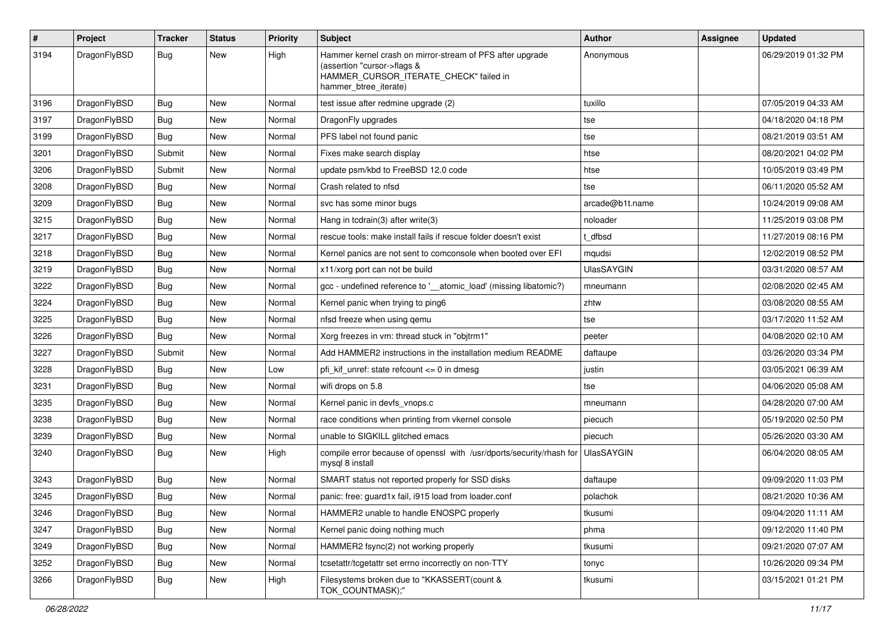| $\sharp$ | Project      | <b>Tracker</b> | <b>Status</b> | <b>Priority</b> | Subject                                                                                                                                                     | <b>Author</b>     | Assignee | <b>Updated</b>      |
|----------|--------------|----------------|---------------|-----------------|-------------------------------------------------------------------------------------------------------------------------------------------------------------|-------------------|----------|---------------------|
| 3194     | DragonFlyBSD | Bug            | <b>New</b>    | High            | Hammer kernel crash on mirror-stream of PFS after upgrade<br>(assertion "cursor->flags &<br>HAMMER_CURSOR_ITERATE_CHECK" failed in<br>hammer_btree_iterate) | Anonymous         |          | 06/29/2019 01:32 PM |
| 3196     | DragonFlyBSD | Bug            | <b>New</b>    | Normal          | test issue after redmine upgrade (2)                                                                                                                        | tuxillo           |          | 07/05/2019 04:33 AM |
| 3197     | DragonFlyBSD | <b>Bug</b>     | <b>New</b>    | Normal          | DragonFly upgrades                                                                                                                                          | tse               |          | 04/18/2020 04:18 PM |
| 3199     | DragonFlyBSD | Bug            | New           | Normal          | PFS label not found panic                                                                                                                                   | tse               |          | 08/21/2019 03:51 AM |
| 3201     | DragonFlyBSD | Submit         | <b>New</b>    | Normal          | Fixes make search display                                                                                                                                   | htse              |          | 08/20/2021 04:02 PM |
| 3206     | DragonFlyBSD | Submit         | New           | Normal          | update psm/kbd to FreeBSD 12.0 code                                                                                                                         | htse              |          | 10/05/2019 03:49 PM |
| 3208     | DragonFlyBSD | Bug            | <b>New</b>    | Normal          | Crash related to nfsd                                                                                                                                       | tse               |          | 06/11/2020 05:52 AM |
| 3209     | DragonFlyBSD | Bug            | <b>New</b>    | Normal          | svc has some minor bugs                                                                                                                                     | arcade@b1t.name   |          | 10/24/2019 09:08 AM |
| 3215     | DragonFlyBSD | <b>Bug</b>     | <b>New</b>    | Normal          | Hang in tcdrain(3) after write(3)                                                                                                                           | noloader          |          | 11/25/2019 03:08 PM |
| 3217     | DragonFlyBSD | Bug            | <b>New</b>    | Normal          | rescue tools: make install fails if rescue folder doesn't exist                                                                                             | t_dfbsd           |          | 11/27/2019 08:16 PM |
| 3218     | DragonFlyBSD | <b>Bug</b>     | New           | Normal          | Kernel panics are not sent to comconsole when booted over EFI                                                                                               | mqudsi            |          | 12/02/2019 08:52 PM |
| 3219     | DragonFlyBSD | Bug            | <b>New</b>    | Normal          | x11/xorg port can not be build                                                                                                                              | <b>UlasSAYGIN</b> |          | 03/31/2020 08:57 AM |
| 3222     | DragonFlyBSD | <b>Bug</b>     | New           | Normal          | gcc - undefined reference to '_atomic_load' (missing libatomic?)                                                                                            | mneumann          |          | 02/08/2020 02:45 AM |
| 3224     | DragonFlyBSD | <b>Bug</b>     | <b>New</b>    | Normal          | Kernel panic when trying to ping6                                                                                                                           | zhtw              |          | 03/08/2020 08:55 AM |
| 3225     | DragonFlyBSD | Bug            | <b>New</b>    | Normal          | nfsd freeze when using qemu                                                                                                                                 | tse               |          | 03/17/2020 11:52 AM |
| 3226     | DragonFlyBSD | <b>Bug</b>     | <b>New</b>    | Normal          | Xorg freezes in vm: thread stuck in "objtrm1"                                                                                                               | peeter            |          | 04/08/2020 02:10 AM |
| 3227     | DragonFlyBSD | Submit         | New           | Normal          | Add HAMMER2 instructions in the installation medium README                                                                                                  | daftaupe          |          | 03/26/2020 03:34 PM |
| 3228     | DragonFlyBSD | Bug            | <b>New</b>    | Low             | pfi_kif_unref: state refcount <= 0 in dmesg                                                                                                                 | justin            |          | 03/05/2021 06:39 AM |
| 3231     | DragonFlyBSD | Bug            | New           | Normal          | wifi drops on 5.8                                                                                                                                           | tse               |          | 04/06/2020 05:08 AM |
| 3235     | DragonFlyBSD | Bug            | <b>New</b>    | Normal          | Kernel panic in devfs_vnops.c                                                                                                                               | mneumann          |          | 04/28/2020 07:00 AM |
| 3238     | DragonFlyBSD | <b>Bug</b>     | <b>New</b>    | Normal          | race conditions when printing from vkernel console                                                                                                          | piecuch           |          | 05/19/2020 02:50 PM |
| 3239     | DragonFlyBSD | <b>Bug</b>     | New           | Normal          | unable to SIGKILL glitched emacs                                                                                                                            | piecuch           |          | 05/26/2020 03:30 AM |
| 3240     | DragonFlyBSD | Bug            | <b>New</b>    | High            | compile error because of openssl with /usr/dports/security/rhash for<br>mysql 8 install                                                                     | <b>UlasSAYGIN</b> |          | 06/04/2020 08:05 AM |
| 3243     | DragonFlyBSD | Bug            | <b>New</b>    | Normal          | SMART status not reported properly for SSD disks                                                                                                            | daftaupe          |          | 09/09/2020 11:03 PM |
| 3245     | DragonFlyBSD | <b>Bug</b>     | New           | Normal          | panic: free: guard1x fail, i915 load from loader.conf                                                                                                       | polachok          |          | 08/21/2020 10:36 AM |
| 3246     | DragonFlyBSD | <b>Bug</b>     | New           | Normal          | HAMMER2 unable to handle ENOSPC properly                                                                                                                    | tkusumi           |          | 09/04/2020 11:11 AM |
| 3247     | DragonFlyBSD | <b>Bug</b>     | New           | Normal          | Kernel panic doing nothing much                                                                                                                             | phma              |          | 09/12/2020 11:40 PM |
| 3249     | DragonFlyBSD | <b>Bug</b>     | New           | Normal          | HAMMER2 fsync(2) not working properly                                                                                                                       | tkusumi           |          | 09/21/2020 07:07 AM |
| 3252     | DragonFlyBSD | <b>Bug</b>     | New           | Normal          | tcsetattr/tcgetattr set errno incorrectly on non-TTY                                                                                                        | tonyc             |          | 10/26/2020 09:34 PM |
| 3266     | DragonFlyBSD | <b>Bug</b>     | New           | High            | Filesystems broken due to "KKASSERT(count &<br>TOK_COUNTMASK);"                                                                                             | tkusumi           |          | 03/15/2021 01:21 PM |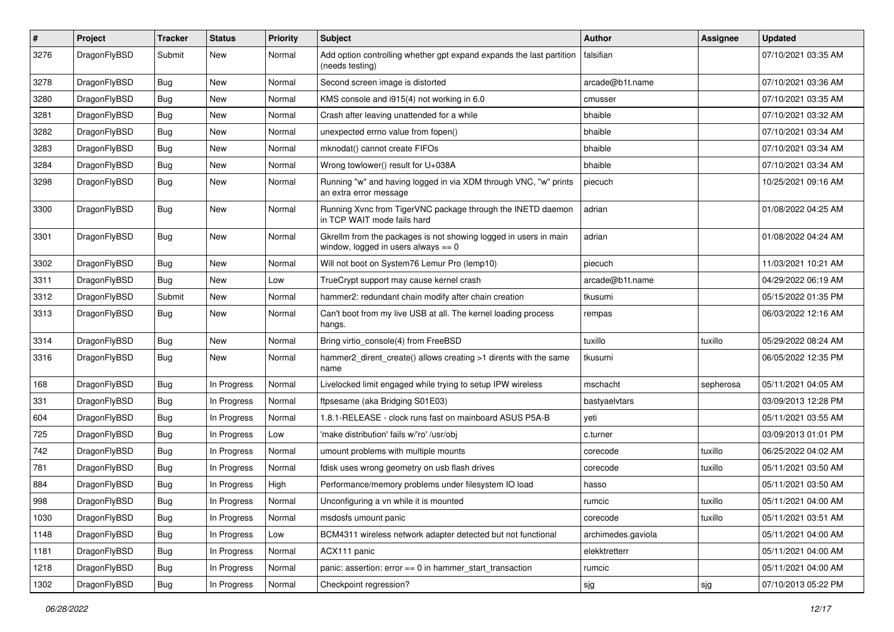| $\sharp$ | Project      | <b>Tracker</b> | <b>Status</b> | <b>Priority</b> | Subject                                                                                                   | <b>Author</b>      | Assignee  | <b>Updated</b>      |
|----------|--------------|----------------|---------------|-----------------|-----------------------------------------------------------------------------------------------------------|--------------------|-----------|---------------------|
| 3276     | DragonFlyBSD | Submit         | <b>New</b>    | Normal          | Add option controlling whether gpt expand expands the last partition<br>(needs testing)                   | falsifian          |           | 07/10/2021 03:35 AM |
| 3278     | DragonFlyBSD | Bug            | <b>New</b>    | Normal          | Second screen image is distorted                                                                          | arcade@b1t.name    |           | 07/10/2021 03:36 AM |
| 3280     | DragonFlyBSD | <b>Bug</b>     | New           | Normal          | KMS console and i915(4) not working in 6.0                                                                | cmusser            |           | 07/10/2021 03:35 AM |
| 3281     | DragonFlyBSD | Bug            | <b>New</b>    | Normal          | Crash after leaving unattended for a while                                                                | bhaible            |           | 07/10/2021 03:32 AM |
| 3282     | DragonFlyBSD | <b>Bug</b>     | <b>New</b>    | Normal          | unexpected errno value from fopen()                                                                       | bhaible            |           | 07/10/2021 03:34 AM |
| 3283     | DragonFlyBSD | <b>Bug</b>     | <b>New</b>    | Normal          | mknodat() cannot create FIFOs                                                                             | bhaible            |           | 07/10/2021 03:34 AM |
| 3284     | DragonFlyBSD | <b>Bug</b>     | New           | Normal          | Wrong towlower() result for U+038A                                                                        | bhaible            |           | 07/10/2021 03:34 AM |
| 3298     | DragonFlyBSD | Bug            | New           | Normal          | Running "w" and having logged in via XDM through VNC, "w" prints<br>an extra error message                | piecuch            |           | 10/25/2021 09:16 AM |
| 3300     | DragonFlyBSD | Bug            | <b>New</b>    | Normal          | Running Xvnc from TigerVNC package through the INETD daemon<br>in TCP WAIT mode fails hard                | adrian             |           | 01/08/2022 04:25 AM |
| 3301     | DragonFlyBSD | <b>Bug</b>     | <b>New</b>    | Normal          | Gkrellm from the packages is not showing logged in users in main<br>window, logged in users always $== 0$ | adrian             |           | 01/08/2022 04:24 AM |
| 3302     | DragonFlyBSD | Bug            | <b>New</b>    | Normal          | Will not boot on System76 Lemur Pro (lemp10)                                                              | piecuch            |           | 11/03/2021 10:21 AM |
| 3311     | DragonFlyBSD | <b>Bug</b>     | New           | Low             | TrueCrypt support may cause kernel crash                                                                  | arcade@b1t.name    |           | 04/29/2022 06:19 AM |
| 3312     | DragonFlyBSD | Submit         | New           | Normal          | hammer2: redundant chain modify after chain creation                                                      | tkusumi            |           | 05/15/2022 01:35 PM |
| 3313     | DragonFlyBSD | <b>Bug</b>     | New           | Normal          | Can't boot from my live USB at all. The kernel loading process<br>hangs.                                  | rempas             |           | 06/03/2022 12:16 AM |
| 3314     | DragonFlyBSD | <b>Bug</b>     | <b>New</b>    | Normal          | Bring virtio_console(4) from FreeBSD                                                                      | tuxillo            | tuxillo   | 05/29/2022 08:24 AM |
| 3316     | DragonFlyBSD | Bug            | <b>New</b>    | Normal          | hammer2_dirent_create() allows creating >1 dirents with the same<br>name                                  | tkusumi            |           | 06/05/2022 12:35 PM |
| 168      | DragonFlyBSD | Bug            | In Progress   | Normal          | Livelocked limit engaged while trying to setup IPW wireless                                               | mschacht           | sepherosa | 05/11/2021 04:05 AM |
| 331      | DragonFlyBSD | <b>Bug</b>     | In Progress   | Normal          | ftpsesame (aka Bridging S01E03)                                                                           | bastyaelvtars      |           | 03/09/2013 12:28 PM |
| 604      | DragonFlyBSD | <b>Bug</b>     | In Progress   | Normal          | 1.8.1-RELEASE - clock runs fast on mainboard ASUS P5A-B                                                   | yeti               |           | 05/11/2021 03:55 AM |
| 725      | DragonFlyBSD | Bug            | In Progress   | Low             | 'make distribution' fails w/'ro' /usr/obj                                                                 | c.turner           |           | 03/09/2013 01:01 PM |
| 742      | DragonFlyBSD | <b>Bug</b>     | In Progress   | Normal          | umount problems with multiple mounts                                                                      | corecode           | tuxillo   | 06/25/2022 04:02 AM |
| 781      | DragonFlyBSD | <b>Bug</b>     | In Progress   | Normal          | fdisk uses wrong geometry on usb flash drives                                                             | corecode           | tuxillo   | 05/11/2021 03:50 AM |
| 884      | DragonFlyBSD | Bug            | In Progress   | High            | Performance/memory problems under filesystem IO load                                                      | hasso              |           | 05/11/2021 03:50 AM |
| 998      | DragonFlyBSD | Bug            | In Progress   | Normal          | Unconfiguring a vn while it is mounted                                                                    | rumcic             | tuxillo   | 05/11/2021 04:00 AM |
| 1030     | DragonFlyBSD | Bug            | In Progress   | Normal          | msdosfs umount panic                                                                                      | corecode           | tuxillo   | 05/11/2021 03:51 AM |
| 1148     | DragonFlyBSD | Bug            | In Progress   | Low             | BCM4311 wireless network adapter detected but not functional                                              | archimedes.gaviola |           | 05/11/2021 04:00 AM |
| 1181     | DragonFlyBSD | <b>Bug</b>     | In Progress   | Normal          | ACX111 panic                                                                                              | elekktretterr      |           | 05/11/2021 04:00 AM |
| 1218     | DragonFlyBSD | Bug            | In Progress   | Normal          | panic: assertion: error == 0 in hammer_start_transaction                                                  | rumcic             |           | 05/11/2021 04:00 AM |
| 1302     | DragonFlyBSD | <b>Bug</b>     | In Progress   | Normal          | Checkpoint regression?                                                                                    | sjg                | sjg       | 07/10/2013 05:22 PM |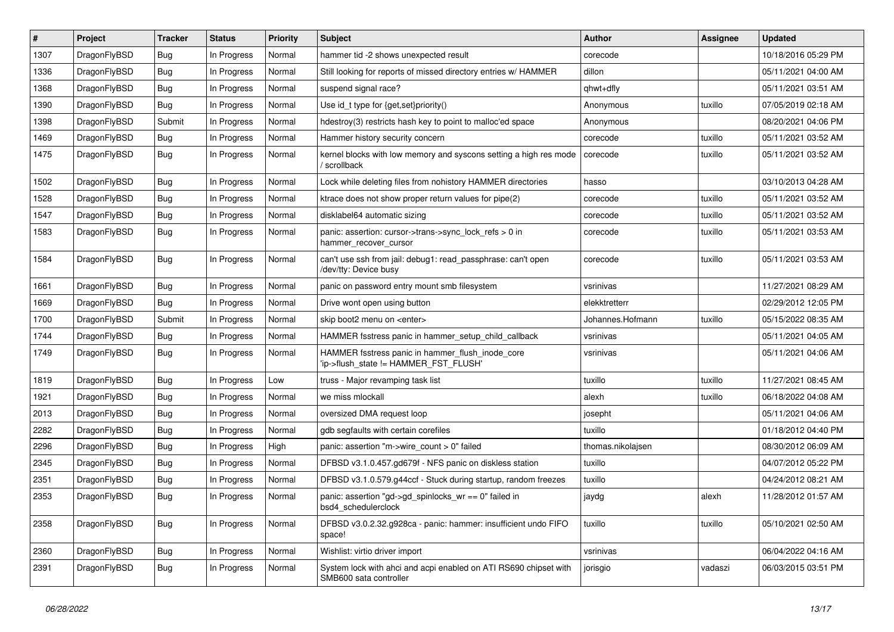| $\vert$ # | Project      | <b>Tracker</b> | <b>Status</b> | <b>Priority</b> | Subject                                                                                    | <b>Author</b>     | Assignee | <b>Updated</b>      |
|-----------|--------------|----------------|---------------|-----------------|--------------------------------------------------------------------------------------------|-------------------|----------|---------------------|
| 1307      | DragonFlyBSD | <b>Bug</b>     | In Progress   | Normal          | hammer tid -2 shows unexpected result                                                      | corecode          |          | 10/18/2016 05:29 PM |
| 1336      | DragonFlyBSD | Bug            | In Progress   | Normal          | Still looking for reports of missed directory entries w/ HAMMER                            | dillon            |          | 05/11/2021 04:00 AM |
| 1368      | DragonFlyBSD | Bug            | In Progress   | Normal          | suspend signal race?                                                                       | qhwt+dfly         |          | 05/11/2021 03:51 AM |
| 1390      | DragonFlyBSD | <b>Bug</b>     | In Progress   | Normal          | Use id_t type for {get,set}priority()                                                      | Anonymous         | tuxillo  | 07/05/2019 02:18 AM |
| 1398      | DragonFlyBSD | Submit         | In Progress   | Normal          | hdestroy(3) restricts hash key to point to malloc'ed space                                 | Anonymous         |          | 08/20/2021 04:06 PM |
| 1469      | DragonFlyBSD | <b>Bug</b>     | In Progress   | Normal          | Hammer history security concern                                                            | corecode          | tuxillo  | 05/11/2021 03:52 AM |
| 1475      | DragonFlyBSD | Bug            | In Progress   | Normal          | kernel blocks with low memory and syscons setting a high res mode<br>/ scrollback          | corecode          | tuxillo  | 05/11/2021 03:52 AM |
| 1502      | DragonFlyBSD | <b>Bug</b>     | In Progress   | Normal          | Lock while deleting files from nohistory HAMMER directories                                | hasso             |          | 03/10/2013 04:28 AM |
| 1528      | DragonFlyBSD | <b>Bug</b>     | In Progress   | Normal          | ktrace does not show proper return values for pipe(2)                                      | corecode          | tuxillo  | 05/11/2021 03:52 AM |
| 1547      | DragonFlyBSD | Bug            | In Progress   | Normal          | disklabel64 automatic sizing                                                               | corecode          | tuxillo  | 05/11/2021 03:52 AM |
| 1583      | DragonFlyBSD | Bug            | In Progress   | Normal          | panic: assertion: cursor->trans->sync_lock_refs > 0 in<br>hammer_recover_cursor            | corecode          | tuxillo  | 05/11/2021 03:53 AM |
| 1584      | DragonFlyBSD | <b>Bug</b>     | In Progress   | Normal          | can't use ssh from jail: debug1: read passphrase: can't open<br>/dev/tty: Device busy      | corecode          | tuxillo  | 05/11/2021 03:53 AM |
| 1661      | DragonFlyBSD | <b>Bug</b>     | In Progress   | Normal          | panic on password entry mount smb filesystem                                               | vsrinivas         |          | 11/27/2021 08:29 AM |
| 1669      | DragonFlyBSD | <b>Bug</b>     | In Progress   | Normal          | Drive wont open using button                                                               | elekktretterr     |          | 02/29/2012 12:05 PM |
| 1700      | DragonFlyBSD | Submit         | In Progress   | Normal          | skip boot2 menu on <enter></enter>                                                         | Johannes.Hofmann  | tuxillo  | 05/15/2022 08:35 AM |
| 1744      | DragonFlyBSD | <b>Bug</b>     | In Progress   | Normal          | HAMMER fsstress panic in hammer setup child callback                                       | vsrinivas         |          | 05/11/2021 04:05 AM |
| 1749      | DragonFlyBSD | Bug            | In Progress   | Normal          | HAMMER fsstress panic in hammer_flush_inode_core<br>'ip->flush_state != HAMMER_FST_FLUSH'  | vsrinivas         |          | 05/11/2021 04:06 AM |
| 1819      | DragonFlyBSD | <b>Bug</b>     | In Progress   | Low             | truss - Major revamping task list                                                          | tuxillo           | tuxillo  | 11/27/2021 08:45 AM |
| 1921      | DragonFlyBSD | <b>Bug</b>     | In Progress   | Normal          | we miss mlockall                                                                           | alexh             | tuxillo  | 06/18/2022 04:08 AM |
| 2013      | DragonFlyBSD | <b>Bug</b>     | In Progress   | Normal          | oversized DMA request loop                                                                 | josepht           |          | 05/11/2021 04:06 AM |
| 2282      | DragonFlyBSD | <b>Bug</b>     | In Progress   | Normal          | gdb segfaults with certain corefiles                                                       | tuxillo           |          | 01/18/2012 04:40 PM |
| 2296      | DragonFlyBSD | <b>Bug</b>     | In Progress   | High            | panic: assertion "m->wire count > 0" failed                                                | thomas.nikolajsen |          | 08/30/2012 06:09 AM |
| 2345      | DragonFlyBSD | Bug            | In Progress   | Normal          | DFBSD v3.1.0.457.gd679f - NFS panic on diskless station                                    | tuxillo           |          | 04/07/2012 05:22 PM |
| 2351      | DragonFlyBSD | <b>Bug</b>     | In Progress   | Normal          | DFBSD v3.1.0.579.g44ccf - Stuck during startup, random freezes                             | tuxillo           |          | 04/24/2012 08:21 AM |
| 2353      | DragonFlyBSD | <b>Bug</b>     | In Progress   | Normal          | panic: assertion "gd->gd_spinlocks_wr == 0" failed in<br>bsd4_schedulerclock               | jaydg             | alexh    | 11/28/2012 01:57 AM |
| 2358      | DragonFlyBSD | <b>Bug</b>     | In Progress   | Normal          | DFBSD v3.0.2.32.g928ca - panic: hammer: insufficient undo FIFO<br>space!                   | tuxillo           | tuxillo  | 05/10/2021 02:50 AM |
| 2360      | DragonFlyBSD | <b>Bug</b>     | In Progress   | Normal          | Wishlist: virtio driver import                                                             | vsrinivas         |          | 06/04/2022 04:16 AM |
| 2391      | DragonFlyBSD | Bug            | In Progress   | Normal          | System lock with ahci and acpi enabled on ATI RS690 chipset with<br>SMB600 sata controller | jorisgio          | vadaszi  | 06/03/2015 03:51 PM |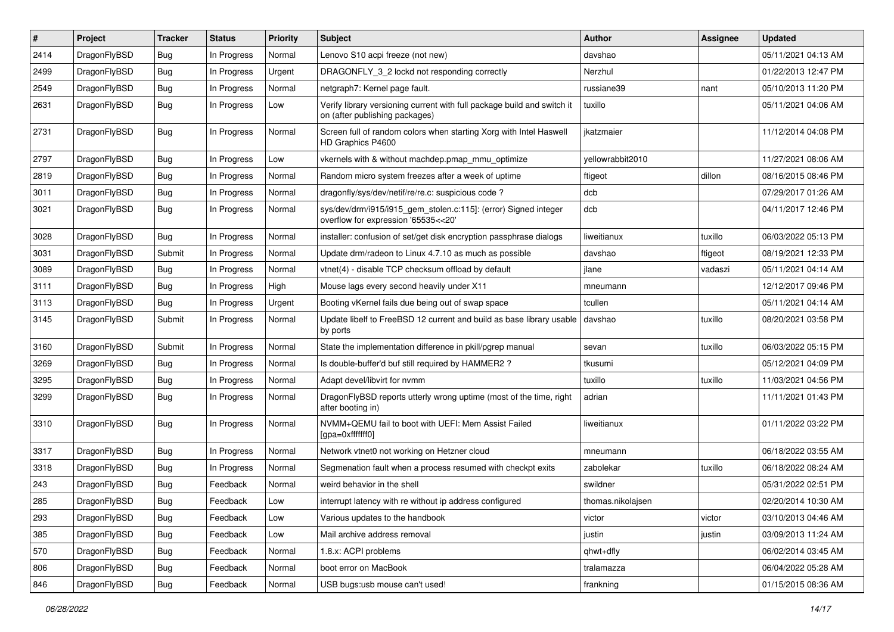| #    | Project      | <b>Tracker</b> | <b>Status</b> | <b>Priority</b> | Subject                                                                                                   | Author            | Assignee | <b>Updated</b>      |
|------|--------------|----------------|---------------|-----------------|-----------------------------------------------------------------------------------------------------------|-------------------|----------|---------------------|
| 2414 | DragonFlyBSD | <b>Bug</b>     | In Progress   | Normal          | Lenovo S10 acpi freeze (not new)                                                                          | davshao           |          | 05/11/2021 04:13 AM |
| 2499 | DragonFlyBSD | Bug            | In Progress   | Urgent          | DRAGONFLY_3_2 lockd not responding correctly                                                              | Nerzhul           |          | 01/22/2013 12:47 PM |
| 2549 | DragonFlyBSD | <b>Bug</b>     | In Progress   | Normal          | netgraph7: Kernel page fault.                                                                             | russiane39        | nant     | 05/10/2013 11:20 PM |
| 2631 | DragonFlyBSD | <b>Bug</b>     | In Progress   | Low             | Verify library versioning current with full package build and switch it<br>on (after publishing packages) | tuxillo           |          | 05/11/2021 04:06 AM |
| 2731 | DragonFlyBSD | Bug            | In Progress   | Normal          | Screen full of random colors when starting Xorg with Intel Haswell<br>HD Graphics P4600                   | jkatzmaier        |          | 11/12/2014 04:08 PM |
| 2797 | DragonFlyBSD | <b>Bug</b>     | In Progress   | Low             | vkernels with & without machdep.pmap mmu optimize                                                         | yellowrabbit2010  |          | 11/27/2021 08:06 AM |
| 2819 | DragonFlyBSD | <b>Bug</b>     | In Progress   | Normal          | Random micro system freezes after a week of uptime                                                        | ftigeot           | dillon   | 08/16/2015 08:46 PM |
| 3011 | DragonFlyBSD | <b>Bug</b>     | In Progress   | Normal          | dragonfly/sys/dev/netif/re/re.c: suspicious code?                                                         | dcb               |          | 07/29/2017 01:26 AM |
| 3021 | DragonFlyBSD | <b>Bug</b>     | In Progress   | Normal          | sys/dev/drm/i915/i915_gem_stolen.c:115]: (error) Signed integer<br>overflow for expression '65535<<20'    | dcb               |          | 04/11/2017 12:46 PM |
| 3028 | DragonFlyBSD | <b>Bug</b>     | In Progress   | Normal          | installer: confusion of set/get disk encryption passphrase dialogs                                        | liweitianux       | tuxillo  | 06/03/2022 05:13 PM |
| 3031 | DragonFlyBSD | Submit         | In Progress   | Normal          | Update drm/radeon to Linux 4.7.10 as much as possible                                                     | davshao           | ftigeot  | 08/19/2021 12:33 PM |
| 3089 | DragonFlyBSD | <b>Bug</b>     | In Progress   | Normal          | vtnet(4) - disable TCP checksum offload by default                                                        | jlane             | vadaszi  | 05/11/2021 04:14 AM |
| 3111 | DragonFlyBSD | Bug            | In Progress   | High            | Mouse lags every second heavily under X11                                                                 | mneumann          |          | 12/12/2017 09:46 PM |
| 3113 | DragonFlyBSD | <b>Bug</b>     | In Progress   | Urgent          | Booting vKernel fails due being out of swap space                                                         | tcullen           |          | 05/11/2021 04:14 AM |
| 3145 | DragonFlyBSD | Submit         | In Progress   | Normal          | Update libelf to FreeBSD 12 current and build as base library usable<br>by ports                          | davshao           | tuxillo  | 08/20/2021 03:58 PM |
| 3160 | DragonFlyBSD | Submit         | In Progress   | Normal          | State the implementation difference in pkill/pgrep manual                                                 | sevan             | tuxillo  | 06/03/2022 05:15 PM |
| 3269 | DragonFlyBSD | <b>Bug</b>     | In Progress   | Normal          | Is double-buffer'd buf still required by HAMMER2 ?                                                        | tkusumi           |          | 05/12/2021 04:09 PM |
| 3295 | DragonFlyBSD | <b>Bug</b>     | In Progress   | Normal          | Adapt devel/libvirt for nvmm                                                                              | tuxillo           | tuxillo  | 11/03/2021 04:56 PM |
| 3299 | DragonFlyBSD | <b>Bug</b>     | In Progress   | Normal          | DragonFlyBSD reports utterly wrong uptime (most of the time, right<br>after booting in)                   | adrian            |          | 11/11/2021 01:43 PM |
| 3310 | DragonFlyBSD | <b>Bug</b>     | In Progress   | Normal          | NVMM+QEMU fail to boot with UEFI: Mem Assist Failed<br>[gpa=0xfffffff0]                                   | liweitianux       |          | 01/11/2022 03:22 PM |
| 3317 | DragonFlyBSD | <b>Bug</b>     | In Progress   | Normal          | Network vtnet0 not working on Hetzner cloud                                                               | mneumann          |          | 06/18/2022 03:55 AM |
| 3318 | DragonFlyBSD | <b>Bug</b>     | In Progress   | Normal          | Segmenation fault when a process resumed with checkpt exits                                               | zabolekar         | tuxillo  | 06/18/2022 08:24 AM |
| 243  | DragonFlyBSD | <b>Bug</b>     | Feedback      | Normal          | weird behavior in the shell                                                                               | swildner          |          | 05/31/2022 02:51 PM |
| 285  | DragonFlyBSD | Bug            | Feedback      | Low             | interrupt latency with re without ip address configured                                                   | thomas.nikolajsen |          | 02/20/2014 10:30 AM |
| 293  | DragonFlyBSD | <b>Bug</b>     | Feedback      | Low             | Various updates to the handbook                                                                           | victor            | victor   | 03/10/2013 04:46 AM |
| 385  | DragonFlyBSD | <b>Bug</b>     | Feedback      | Low             | Mail archive address removal                                                                              | justin            | justin   | 03/09/2013 11:24 AM |
| 570  | DragonFlyBSD | Bug            | Feedback      | Normal          | 1.8.x: ACPI problems                                                                                      | qhwt+dfly         |          | 06/02/2014 03:45 AM |
| 806  | DragonFlyBSD | <b>Bug</b>     | Feedback      | Normal          | boot error on MacBook                                                                                     | tralamazza        |          | 06/04/2022 05:28 AM |
| 846  | DragonFlyBSD | <b>Bug</b>     | Feedback      | Normal          | USB bugs:usb mouse can't used!                                                                            | frankning         |          | 01/15/2015 08:36 AM |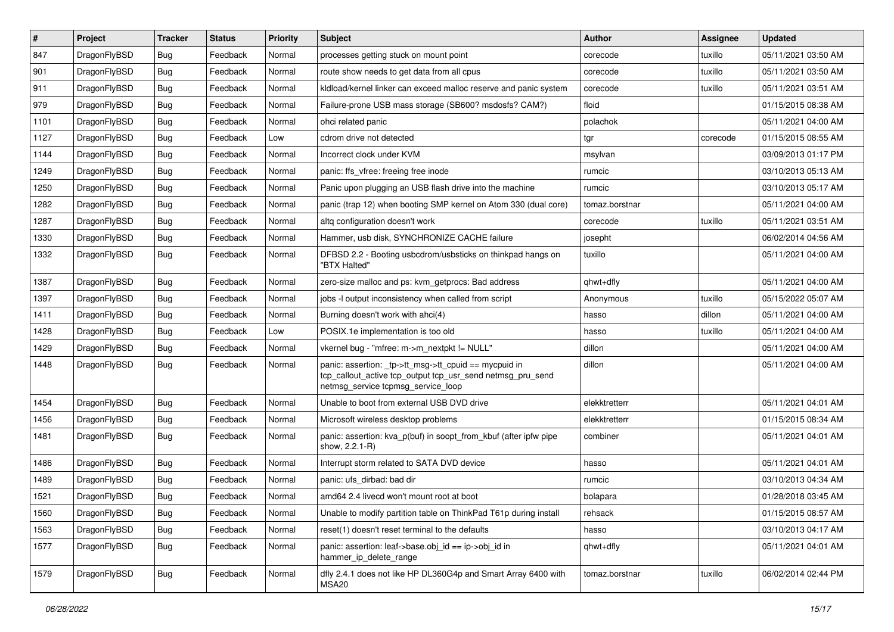| $\vert$ # | Project      | <b>Tracker</b> | <b>Status</b> | <b>Priority</b> | <b>Subject</b>                                                                                                                                            | <b>Author</b>  | <b>Assignee</b> | <b>Updated</b>      |
|-----------|--------------|----------------|---------------|-----------------|-----------------------------------------------------------------------------------------------------------------------------------------------------------|----------------|-----------------|---------------------|
| 847       | DragonFlyBSD | <b>Bug</b>     | Feedback      | Normal          | processes getting stuck on mount point                                                                                                                    | corecode       | tuxillo         | 05/11/2021 03:50 AM |
| 901       | DragonFlyBSD | Bug            | Feedback      | Normal          | route show needs to get data from all cpus                                                                                                                | corecode       | tuxillo         | 05/11/2021 03:50 AM |
| 911       | DragonFlyBSD | <b>Bug</b>     | Feedback      | Normal          | kldload/kernel linker can exceed malloc reserve and panic system                                                                                          | corecode       | tuxillo         | 05/11/2021 03:51 AM |
| 979       | DragonFlyBSD | Bug            | Feedback      | Normal          | Failure-prone USB mass storage (SB600? msdosfs? CAM?)                                                                                                     | floid          |                 | 01/15/2015 08:38 AM |
| 1101      | DragonFlyBSD | <b>Bug</b>     | Feedback      | Normal          | ohci related panic                                                                                                                                        | polachok       |                 | 05/11/2021 04:00 AM |
| 1127      | DragonFlyBSD | <b>Bug</b>     | Feedback      | Low             | cdrom drive not detected                                                                                                                                  | tgr            | corecode        | 01/15/2015 08:55 AM |
| 1144      | DragonFlyBSD | Bug            | Feedback      | Normal          | Incorrect clock under KVM                                                                                                                                 | msylvan        |                 | 03/09/2013 01:17 PM |
| 1249      | DragonFlyBSD | <b>Bug</b>     | Feedback      | Normal          | panic: ffs vfree: freeing free inode                                                                                                                      | rumcic         |                 | 03/10/2013 05:13 AM |
| 1250      | DragonFlyBSD | <b>Bug</b>     | Feedback      | Normal          | Panic upon plugging an USB flash drive into the machine                                                                                                   | rumcic         |                 | 03/10/2013 05:17 AM |
| 1282      | DragonFlyBSD | <b>Bug</b>     | Feedback      | Normal          | panic (trap 12) when booting SMP kernel on Atom 330 (dual core)                                                                                           | tomaz.borstnar |                 | 05/11/2021 04:00 AM |
| 1287      | DragonFlyBSD | <b>Bug</b>     | Feedback      | Normal          | altg configuration doesn't work                                                                                                                           | corecode       | tuxillo         | 05/11/2021 03:51 AM |
| 1330      | DragonFlyBSD | Bug            | Feedback      | Normal          | Hammer, usb disk, SYNCHRONIZE CACHE failure                                                                                                               | josepht        |                 | 06/02/2014 04:56 AM |
| 1332      | DragonFlyBSD | Bug            | Feedback      | Normal          | DFBSD 2.2 - Booting usbcdrom/usbsticks on thinkpad hangs on<br>"BTX Halted"                                                                               | tuxillo        |                 | 05/11/2021 04:00 AM |
| 1387      | DragonFlyBSD | Bug            | Feedback      | Normal          | zero-size malloc and ps: kvm_getprocs: Bad address                                                                                                        | qhwt+dfly      |                 | 05/11/2021 04:00 AM |
| 1397      | DragonFlyBSD | <b>Bug</b>     | Feedback      | Normal          | jobs -I output inconsistency when called from script                                                                                                      | Anonymous      | tuxillo         | 05/15/2022 05:07 AM |
| 1411      | DragonFlyBSD | <b>Bug</b>     | Feedback      | Normal          | Burning doesn't work with ahci(4)                                                                                                                         | hasso          | dillon          | 05/11/2021 04:00 AM |
| 1428      | DragonFlyBSD | Bug            | Feedback      | Low             | POSIX.1e implementation is too old                                                                                                                        | hasso          | tuxillo         | 05/11/2021 04:00 AM |
| 1429      | DragonFlyBSD | <b>Bug</b>     | Feedback      | Normal          | vkernel bug - "mfree: m->m_nextpkt != NULL"                                                                                                               | dillon         |                 | 05/11/2021 04:00 AM |
| 1448      | DragonFlyBSD | Bug            | Feedback      | Normal          | panic: assertion: _tp->tt_msg->tt_cpuid == mycpuid in<br>tcp_callout_active tcp_output tcp_usr_send netmsg_pru_send<br>netmsg_service tcpmsg_service_loop | dillon         |                 | 05/11/2021 04:00 AM |
| 1454      | DragonFlyBSD | Bug            | Feedback      | Normal          | Unable to boot from external USB DVD drive                                                                                                                | elekktretterr  |                 | 05/11/2021 04:01 AM |
| 1456      | DragonFlyBSD | <b>Bug</b>     | Feedback      | Normal          | Microsoft wireless desktop problems                                                                                                                       | elekktretterr  |                 | 01/15/2015 08:34 AM |
| 1481      | DragonFlyBSD | <b>Bug</b>     | Feedback      | Normal          | panic: assertion: kva_p(buf) in soopt_from_kbuf (after ipfw pipe<br>show, 2.2.1-R)                                                                        | combiner       |                 | 05/11/2021 04:01 AM |
| 1486      | DragonFlyBSD | <b>Bug</b>     | Feedback      | Normal          | Interrupt storm related to SATA DVD device                                                                                                                | hasso          |                 | 05/11/2021 04:01 AM |
| 1489      | DragonFlyBSD | Bug            | Feedback      | Normal          | panic: ufs dirbad: bad dir                                                                                                                                | rumcic         |                 | 03/10/2013 04:34 AM |
| 1521      | DragonFlyBSD | <b>Bug</b>     | Feedback      | Normal          | amd64 2.4 livecd won't mount root at boot                                                                                                                 | bolapara       |                 | 01/28/2018 03:45 AM |
| 1560      | DragonFlyBSD | <b>Bug</b>     | Feedback      | Normal          | Unable to modify partition table on ThinkPad T61p during install                                                                                          | rehsack        |                 | 01/15/2015 08:57 AM |
| 1563      | DragonFlyBSD | <b>Bug</b>     | Feedback      | Normal          | reset(1) doesn't reset terminal to the defaults                                                                                                           | hasso          |                 | 03/10/2013 04:17 AM |
| 1577      | DragonFlyBSD | Bug            | Feedback      | Normal          | panic: assertion: leaf->base.obj_id == ip->obj_id in<br>hammer_ip_delete_range                                                                            | qhwt+dfly      |                 | 05/11/2021 04:01 AM |
| 1579      | DragonFlyBSD | <b>Bug</b>     | Feedback      | Normal          | dfly 2.4.1 does not like HP DL360G4p and Smart Array 6400 with<br>MSA20                                                                                   | tomaz.borstnar | tuxillo         | 06/02/2014 02:44 PM |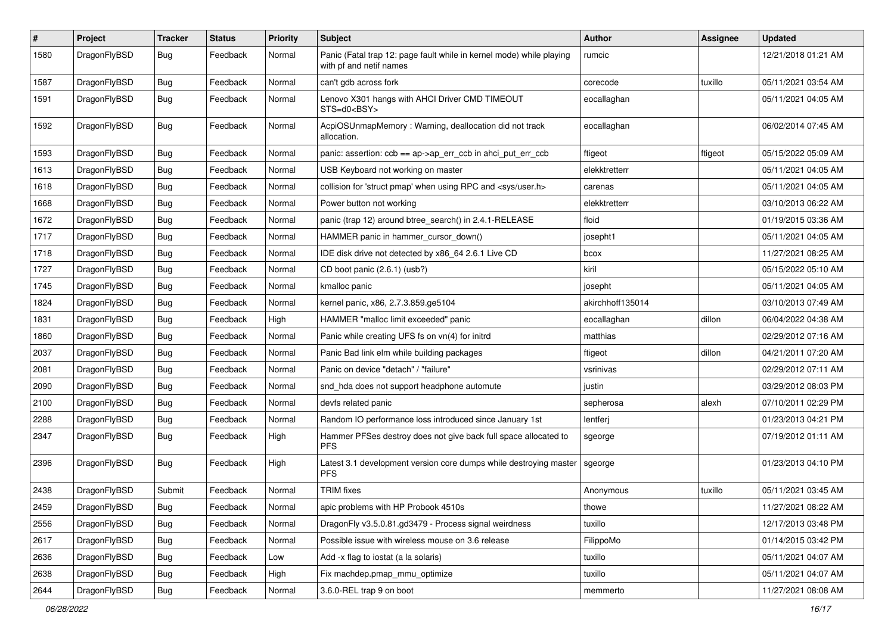| $\pmb{\#}$ | Project      | <b>Tracker</b> | <b>Status</b> | <b>Priority</b> | Subject                                                                                         | Author           | Assignee | <b>Updated</b>      |
|------------|--------------|----------------|---------------|-----------------|-------------------------------------------------------------------------------------------------|------------------|----------|---------------------|
| 1580       | DragonFlyBSD | Bug            | Feedback      | Normal          | Panic (Fatal trap 12: page fault while in kernel mode) while playing<br>with pf and netif names | rumcic           |          | 12/21/2018 01:21 AM |
| 1587       | DragonFlyBSD | <b>Bug</b>     | Feedback      | Normal          | can't gdb across fork                                                                           | corecode         | tuxillo  | 05/11/2021 03:54 AM |
| 1591       | DragonFlyBSD | Bug            | Feedback      | Normal          | Lenovo X301 hangs with AHCI Driver CMD TIMEOUT<br>STS=d0 <bsy></bsy>                            | eocallaghan      |          | 05/11/2021 04:05 AM |
| 1592       | DragonFlyBSD | <b>Bug</b>     | Feedback      | Normal          | AcpiOSUnmapMemory: Warning, deallocation did not track<br>allocation.                           | eocallaghan      |          | 06/02/2014 07:45 AM |
| 1593       | DragonFlyBSD | <b>Bug</b>     | Feedback      | Normal          | panic: assertion: ccb == ap->ap_err_ccb in ahci_put_err_ccb                                     | ftigeot          | ftigeot  | 05/15/2022 05:09 AM |
| 1613       | DragonFlyBSD | Bug            | Feedback      | Normal          | USB Keyboard not working on master                                                              | elekktretterr    |          | 05/11/2021 04:05 AM |
| 1618       | DragonFlyBSD | Bug            | Feedback      | Normal          | collision for 'struct pmap' when using RPC and <sys user.h=""></sys>                            | carenas          |          | 05/11/2021 04:05 AM |
| 1668       | DragonFlyBSD | Bug            | Feedback      | Normal          | Power button not working                                                                        | elekktretterr    |          | 03/10/2013 06:22 AM |
| 1672       | DragonFlyBSD | Bug            | Feedback      | Normal          | panic (trap 12) around btree_search() in 2.4.1-RELEASE                                          | floid            |          | 01/19/2015 03:36 AM |
| 1717       | DragonFlyBSD | Bug            | Feedback      | Normal          | HAMMER panic in hammer_cursor_down()                                                            | josepht1         |          | 05/11/2021 04:05 AM |
| 1718       | DragonFlyBSD | Bug            | Feedback      | Normal          | IDE disk drive not detected by x86_64 2.6.1 Live CD                                             | bcox             |          | 11/27/2021 08:25 AM |
| 1727       | DragonFlyBSD | Bug            | Feedback      | Normal          | CD boot panic (2.6.1) (usb?)                                                                    | kiril            |          | 05/15/2022 05:10 AM |
| 1745       | DragonFlyBSD | Bug            | Feedback      | Normal          | kmalloc panic                                                                                   | josepht          |          | 05/11/2021 04:05 AM |
| 1824       | DragonFlyBSD | Bug            | Feedback      | Normal          | kernel panic, x86, 2.7.3.859.ge5104                                                             | akirchhoff135014 |          | 03/10/2013 07:49 AM |
| 1831       | DragonFlyBSD | Bug            | Feedback      | High            | HAMMER "malloc limit exceeded" panic                                                            | eocallaghan      | dillon   | 06/04/2022 04:38 AM |
| 1860       | DragonFlyBSD | Bug            | Feedback      | Normal          | Panic while creating UFS fs on vn(4) for initrd                                                 | matthias         |          | 02/29/2012 07:16 AM |
| 2037       | DragonFlyBSD | Bug            | Feedback      | Normal          | Panic Bad link elm while building packages                                                      | ftigeot          | dillon   | 04/21/2011 07:20 AM |
| 2081       | DragonFlyBSD | <b>Bug</b>     | Feedback      | Normal          | Panic on device "detach" / "failure"                                                            | vsrinivas        |          | 02/29/2012 07:11 AM |
| 2090       | DragonFlyBSD | Bug            | Feedback      | Normal          | snd_hda does not support headphone automute                                                     | justin           |          | 03/29/2012 08:03 PM |
| 2100       | DragonFlyBSD | Bug            | Feedback      | Normal          | devfs related panic                                                                             | sepherosa        | alexh    | 07/10/2011 02:29 PM |
| 2288       | DragonFlyBSD | Bug            | Feedback      | Normal          | Random IO performance loss introduced since January 1st                                         | lentferj         |          | 01/23/2013 04:21 PM |
| 2347       | DragonFlyBSD | Bug            | Feedback      | High            | Hammer PFSes destroy does not give back full space allocated to<br><b>PFS</b>                   | sgeorge          |          | 07/19/2012 01:11 AM |
| 2396       | DragonFlyBSD | Bug            | Feedback      | High            | Latest 3.1 development version core dumps while destroying master<br><b>PFS</b>                 | sgeorge          |          | 01/23/2013 04:10 PM |
| 2438       | DragonFlyBSD | Submit         | Feedback      | Normal          | <b>TRIM</b> fixes                                                                               | Anonymous        | tuxillo  | 05/11/2021 03:45 AM |
| 2459       | DragonFlyBSD | <b>Bug</b>     | Feedback      | Normal          | apic problems with HP Probook 4510s                                                             | thowe            |          | 11/27/2021 08:22 AM |
| 2556       | DragonFlyBSD | <b>Bug</b>     | Feedback      | Normal          | DragonFly v3.5.0.81.gd3479 - Process signal weirdness                                           | tuxillo          |          | 12/17/2013 03:48 PM |
| 2617       | DragonFlyBSD | <b>Bug</b>     | Feedback      | Normal          | Possible issue with wireless mouse on 3.6 release                                               | FilippoMo        |          | 01/14/2015 03:42 PM |
| 2636       | DragonFlyBSD | Bug            | Feedback      | Low             | Add -x flag to iostat (a la solaris)                                                            | tuxillo          |          | 05/11/2021 04:07 AM |
| 2638       | DragonFlyBSD | <b>Bug</b>     | Feedback      | High            | Fix machdep.pmap_mmu_optimize                                                                   | tuxillo          |          | 05/11/2021 04:07 AM |
| 2644       | DragonFlyBSD | Bug            | Feedback      | Normal          | 3.6.0-REL trap 9 on boot                                                                        | memmerto         |          | 11/27/2021 08:08 AM |